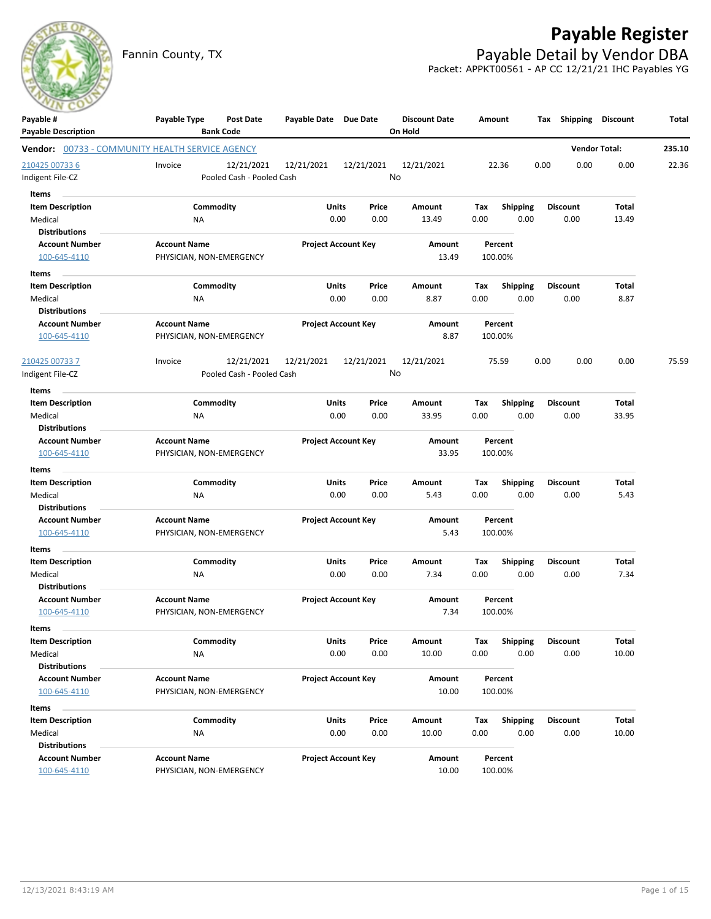

# **Payable Register**

Fannin County, TX **Payable Detail by Vendor DBA** Packet: APPKT00561 - AP CC 12/21/21 IHC Payables YG



| Payable #                                                                            | Payable Type                                    | <b>Post Date</b><br><b>Bank Code</b>    | Payable Date Due Date |                            | <b>Discount Date</b><br>On Hold |             | Amount                  | Tax  | Shipping        | <b>Discount</b>      | Total  |
|--------------------------------------------------------------------------------------|-------------------------------------------------|-----------------------------------------|-----------------------|----------------------------|---------------------------------|-------------|-------------------------|------|-----------------|----------------------|--------|
| <b>Payable Description</b><br><b>Vendor:</b> 00733 - COMMUNITY HEALTH SERVICE AGENCY |                                                 |                                         |                       |                            |                                 |             |                         |      |                 | <b>Vendor Total:</b> | 235.10 |
| 210425 00733 6<br>Indigent File-CZ                                                   | Invoice                                         | 12/21/2021<br>Pooled Cash - Pooled Cash | 12/21/2021            | 12/21/2021                 | 12/21/2021<br>No                |             | 22.36                   | 0.00 | 0.00            | 0.00                 | 22.36  |
| Items                                                                                |                                                 |                                         |                       |                            |                                 |             |                         |      |                 |                      |        |
| <b>Item Description</b>                                                              |                                                 | Commodity                               |                       | Units<br>Price             | Amount                          | Tax         | <b>Shipping</b>         |      | <b>Discount</b> | Total                |        |
| Medical                                                                              | NA                                              |                                         |                       | 0.00<br>0.00               | 13.49                           | 0.00        | 0.00                    |      | 0.00            | 13.49                |        |
| <b>Distributions</b>                                                                 |                                                 |                                         |                       |                            |                                 |             |                         |      |                 |                      |        |
| <b>Account Number</b>                                                                | <b>Account Name</b>                             |                                         |                       | <b>Project Account Key</b> | Amount                          |             | Percent                 |      |                 |                      |        |
| 100-645-4110                                                                         | PHYSICIAN, NON-EMERGENCY                        |                                         |                       |                            | 13.49                           |             | 100.00%                 |      |                 |                      |        |
| Items                                                                                |                                                 |                                         |                       |                            |                                 |             |                         |      |                 |                      |        |
| <b>Item Description</b>                                                              |                                                 | Commodity                               |                       | Units<br>Price             | Amount                          | Tax         | <b>Shipping</b>         |      | <b>Discount</b> | Total                |        |
| Medical                                                                              | NA                                              |                                         |                       | 0.00<br>0.00               | 8.87                            | 0.00        | 0.00                    |      | 0.00            | 8.87                 |        |
| <b>Distributions</b>                                                                 |                                                 |                                         |                       |                            |                                 |             |                         |      |                 |                      |        |
| <b>Account Number</b><br>100-645-4110                                                | <b>Account Name</b><br>PHYSICIAN, NON-EMERGENCY |                                         |                       | <b>Project Account Key</b> | Amount<br>8.87                  |             | Percent<br>100.00%      |      |                 |                      |        |
| 210425 00733 7                                                                       | Invoice                                         | 12/21/2021                              | 12/21/2021            | 12/21/2021                 | 12/21/2021                      |             | 75.59                   | 0.00 | 0.00            | 0.00                 | 75.59  |
| Indigent File-CZ                                                                     |                                                 | Pooled Cash - Pooled Cash               |                       |                            | No                              |             |                         |      |                 |                      |        |
| Items                                                                                |                                                 |                                         |                       |                            |                                 |             |                         |      |                 |                      |        |
| <b>Item Description</b>                                                              |                                                 | Commodity                               |                       | Units<br>Price             | Amount                          | Tax         | <b>Shipping</b>         |      | <b>Discount</b> | Total                |        |
| Medical                                                                              | ΝA                                              |                                         |                       | 0.00<br>0.00               | 33.95                           | 0.00        | 0.00                    |      | 0.00            | 33.95                |        |
| <b>Distributions</b>                                                                 |                                                 |                                         |                       |                            |                                 |             |                         |      |                 |                      |        |
| <b>Account Number</b>                                                                | <b>Account Name</b>                             |                                         |                       | <b>Project Account Key</b> | Amount                          |             | Percent                 |      |                 |                      |        |
| 100-645-4110                                                                         | PHYSICIAN, NON-EMERGENCY                        |                                         |                       |                            | 33.95                           |             | 100.00%                 |      |                 |                      |        |
| Items                                                                                |                                                 |                                         |                       |                            |                                 |             |                         |      |                 |                      |        |
| <b>Item Description</b>                                                              |                                                 | Commodity                               |                       | Units<br>Price             | Amount                          | Tax         | <b>Shipping</b>         |      | <b>Discount</b> | Total                |        |
| Medical                                                                              | NA                                              |                                         |                       | 0.00<br>0.00               | 5.43                            | 0.00        | 0.00                    |      | 0.00            | 5.43                 |        |
| <b>Distributions</b>                                                                 |                                                 |                                         |                       |                            |                                 |             |                         |      |                 |                      |        |
| <b>Account Number</b><br>100-645-4110                                                | <b>Account Name</b><br>PHYSICIAN, NON-EMERGENCY |                                         |                       | <b>Project Account Key</b> | Amount<br>5.43                  |             | Percent<br>100.00%      |      |                 |                      |        |
|                                                                                      |                                                 |                                         |                       |                            |                                 |             |                         |      |                 |                      |        |
| Items<br><b>Item Description</b>                                                     |                                                 | Commodity                               | Units                 | Price                      | Amount                          |             |                         |      | <b>Discount</b> | <b>Total</b>         |        |
| Medical                                                                              | <b>NA</b>                                       |                                         |                       | 0.00<br>0.00               | 7.34                            | Tax<br>0.00 | <b>Shipping</b><br>0.00 |      | 0.00            | 7.34                 |        |
| <b>Distributions</b>                                                                 |                                                 |                                         |                       |                            |                                 |             |                         |      |                 |                      |        |
| <b>Account Number</b>                                                                | <b>Account Name</b>                             |                                         |                       | <b>Project Account Key</b> | Amount                          |             | Percent                 |      |                 |                      |        |
| 100-645-4110                                                                         | PHYSICIAN, NON-EMERGENCY                        |                                         |                       |                            | 7.34                            |             | 100.00%                 |      |                 |                      |        |
| Items                                                                                |                                                 |                                         |                       |                            |                                 |             |                         |      |                 |                      |        |
| <b>Item Description</b>                                                              |                                                 | Commodity                               |                       | Units<br>Price             | Amount                          | Tax         | Shipping                |      | <b>Discount</b> | Total                |        |
| Medical                                                                              | NA                                              |                                         |                       | 0.00<br>0.00               | 10.00                           | 0.00        | 0.00                    |      | 0.00            | 10.00                |        |
| <b>Distributions</b>                                                                 |                                                 |                                         |                       |                            |                                 |             |                         |      |                 |                      |        |
| <b>Account Number</b>                                                                | <b>Account Name</b>                             |                                         |                       | <b>Project Account Key</b> | Amount                          |             | Percent                 |      |                 |                      |        |
| 100-645-4110                                                                         | PHYSICIAN, NON-EMERGENCY                        |                                         |                       |                            | 10.00                           |             | 100.00%                 |      |                 |                      |        |
| Items                                                                                |                                                 |                                         |                       |                            |                                 |             |                         |      |                 |                      |        |
| <b>Item Description</b>                                                              |                                                 | Commodity                               |                       | Units<br>Price             | Amount                          | Tax         | <b>Shipping</b>         |      | <b>Discount</b> | Total                |        |
| Medical                                                                              | ΝA                                              |                                         |                       | 0.00<br>0.00               | 10.00                           | 0.00        | 0.00                    |      | 0.00            | 10.00                |        |
| <b>Distributions</b>                                                                 |                                                 |                                         |                       |                            |                                 |             |                         |      |                 |                      |        |
| <b>Account Number</b><br>100-645-4110                                                | <b>Account Name</b><br>PHYSICIAN, NON-EMERGENCY |                                         |                       | <b>Project Account Key</b> | Amount<br>10.00                 |             | Percent<br>100.00%      |      |                 |                      |        |
|                                                                                      |                                                 |                                         |                       |                            |                                 |             |                         |      |                 |                      |        |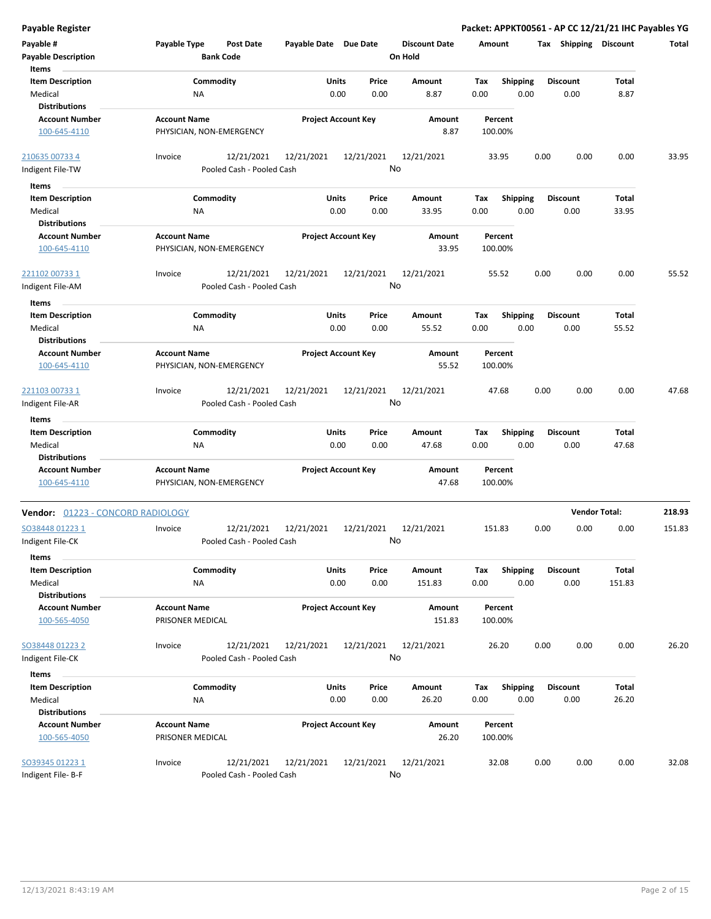| Payable Register                                           |                                                      |                       |                            |                                 | Packet: APPKT00561 - AP CC 12/21/21 IHC Payables YG |                         |                      |        |
|------------------------------------------------------------|------------------------------------------------------|-----------------------|----------------------------|---------------------------------|-----------------------------------------------------|-------------------------|----------------------|--------|
| Payable #<br><b>Payable Description</b>                    | Payable Type<br><b>Post Date</b><br><b>Bank Code</b> | Payable Date Due Date |                            | <b>Discount Date</b><br>On Hold | Amount                                              | Tax Shipping Discount   |                      | Total  |
| Items<br><b>Item Description</b><br>Medical                | Commodity<br>ΝA                                      | Units<br>0.00         | Price<br>0.00              | Amount<br>8.87                  | Tax<br><b>Shipping</b><br>0.00<br>0.00              | <b>Discount</b><br>0.00 | Total<br>8.87        |        |
| <b>Distributions</b><br><b>Account Number</b>              | <b>Account Name</b>                                  |                       | <b>Project Account Key</b> | Amount                          | Percent                                             |                         |                      |        |
| 100-645-4110                                               | PHYSICIAN, NON-EMERGENCY                             |                       |                            | 8.87                            | 100.00%                                             |                         |                      |        |
| 210635 00733 4                                             | 12/21/2021<br>Invoice                                | 12/21/2021            | 12/21/2021                 | 12/21/2021                      | 33.95                                               | 0.00<br>0.00            | 0.00                 | 33.95  |
| Indigent File-TW                                           | Pooled Cash - Pooled Cash                            |                       |                            | No                              |                                                     |                         |                      |        |
| Items                                                      |                                                      |                       |                            |                                 |                                                     |                         |                      |        |
| <b>Item Description</b><br>Medical                         | Commodity<br>NA                                      | Units<br>0.00         | Price<br>0.00              | Amount<br>33.95                 | Tax<br><b>Shipping</b><br>0.00<br>0.00              | <b>Discount</b><br>0.00 | Total<br>33.95       |        |
| <b>Distributions</b>                                       |                                                      |                       |                            |                                 |                                                     |                         |                      |        |
| <b>Account Number</b><br>100-645-4110                      | <b>Account Name</b><br>PHYSICIAN, NON-EMERGENCY      |                       | <b>Project Account Key</b> | Amount<br>33.95                 | Percent<br>100.00%                                  |                         |                      |        |
| 221102 00733 1                                             | 12/21/2021<br>Invoice                                | 12/21/2021            | 12/21/2021                 | 12/21/2021                      | 55.52                                               | 0.00<br>0.00            | 0.00                 | 55.52  |
| Indigent File-AM                                           | Pooled Cash - Pooled Cash                            |                       |                            | No                              |                                                     |                         |                      |        |
| Items                                                      |                                                      |                       |                            |                                 |                                                     |                         |                      |        |
| <b>Item Description</b>                                    | Commodity                                            | Units                 | Price                      | Amount                          | Tax<br><b>Shipping</b>                              | <b>Discount</b>         | Total                |        |
| Medical<br><b>Distributions</b>                            | ΝA                                                   | 0.00                  | 0.00                       | 55.52                           | 0.00<br>0.00                                        | 0.00                    | 55.52                |        |
| <b>Account Number</b><br>100-645-4110                      | <b>Account Name</b><br>PHYSICIAN, NON-EMERGENCY      |                       | <b>Project Account Key</b> | Amount<br>55.52                 | Percent<br>100.00%                                  |                         |                      |        |
| 221103 00733 1<br>Indigent File-AR                         | 12/21/2021<br>Invoice<br>Pooled Cash - Pooled Cash   | 12/21/2021            | 12/21/2021                 | 12/21/2021<br>No                | 47.68                                               | 0.00<br>0.00            | 0.00                 | 47.68  |
|                                                            |                                                      |                       |                            |                                 |                                                     |                         |                      |        |
| Items                                                      |                                                      |                       |                            |                                 |                                                     |                         |                      |        |
| <b>Item Description</b><br>Medical<br><b>Distributions</b> | Commodity<br>NA                                      | Units<br>0.00         | Price<br>0.00              | Amount<br>47.68                 | <b>Shipping</b><br>Tax<br>0.00<br>0.00              | <b>Discount</b><br>0.00 | Total<br>47.68       |        |
| <b>Account Number</b>                                      | <b>Account Name</b>                                  |                       | <b>Project Account Key</b> | Amount                          | Percent                                             |                         |                      |        |
| 100-645-4110                                               | PHYSICIAN, NON-EMERGENCY                             |                       |                            | 47.68                           | 100.00%                                             |                         |                      |        |
| Vendor: 01223 - CONCORD RADIOLOGY                          |                                                      |                       |                            |                                 |                                                     |                         | <b>Vendor Total:</b> | 218.93 |
| SO38448 01223 1                                            | 12/21/2021<br>Invoice                                | 12/21/2021            | 12/21/2021                 | 12/21/2021                      | 151.83                                              | 0.00<br>0.00            | 0.00                 | 151.83 |
| Indigent File-CK<br>Items                                  | Pooled Cash - Pooled Cash                            |                       |                            | No                              |                                                     |                         |                      |        |
| <b>Item Description</b>                                    | Commodity                                            | <b>Units</b>          | Price                      | Amount                          | <b>Shipping</b><br>Tax                              | <b>Discount</b>         | Total                |        |
| Medical                                                    | ΝA                                                   | 0.00                  | 0.00                       | 151.83                          | 0.00<br>0.00                                        | 0.00                    | 151.83               |        |
| <b>Distributions</b>                                       |                                                      |                       |                            |                                 |                                                     |                         |                      |        |
| <b>Account Number</b><br>100-565-4050                      | <b>Account Name</b><br>PRISONER MEDICAL              |                       | <b>Project Account Key</b> | Amount<br>151.83                | Percent<br>100.00%                                  |                         |                      |        |
| SO38448 01223 2                                            | 12/21/2021<br>Invoice                                | 12/21/2021            | 12/21/2021                 | 12/21/2021                      | 26.20                                               | 0.00<br>0.00            | 0.00                 | 26.20  |
| Indigent File-CK                                           | Pooled Cash - Pooled Cash                            |                       |                            | No                              |                                                     |                         |                      |        |
| Items                                                      |                                                      |                       |                            |                                 |                                                     |                         |                      |        |
| <b>Item Description</b>                                    | Commodity                                            | Units                 | Price                      | Amount                          | Shipping<br>Tax                                     | <b>Discount</b>         | Total                |        |
| Medical<br><b>Distributions</b>                            | ΝA                                                   | 0.00                  | 0.00                       | 26.20                           | 0.00<br>0.00                                        | 0.00                    | 26.20                |        |
| <b>Account Number</b>                                      | <b>Account Name</b>                                  |                       | <b>Project Account Key</b> |                                 |                                                     |                         |                      |        |
| 100-565-4050                                               | PRISONER MEDICAL                                     |                       |                            | Amount<br>26.20                 | Percent<br>100.00%                                  |                         |                      |        |
| SO39345 01223 1                                            | 12/21/2021<br>Invoice                                | 12/21/2021            | 12/21/2021                 | 12/21/2021                      | 32.08                                               | 0.00<br>0.00            | 0.00                 | 32.08  |
| Indigent File-B-F                                          | Pooled Cash - Pooled Cash                            |                       |                            | No                              |                                                     |                         |                      |        |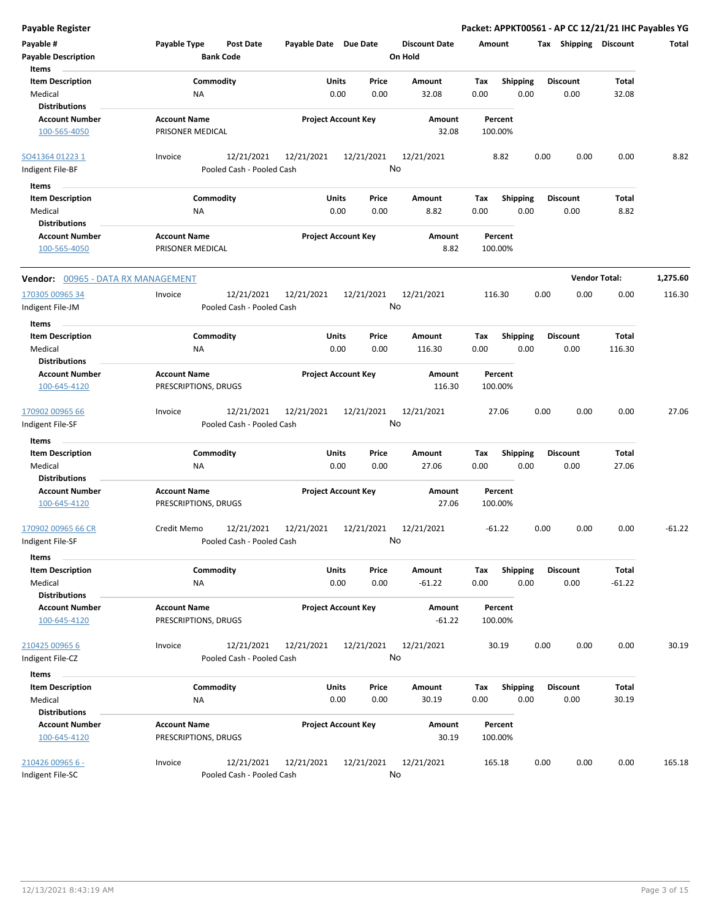| Payable Type<br>Payable Date Due Date<br>Post Date<br><b>Discount Date</b><br>Amount<br>Tax Shipping Discount<br>Total<br><b>Bank Code</b><br>On Hold<br>Items<br><b>Item Description</b><br>Units<br>Price<br><b>Shipping</b><br><b>Discount</b><br>Commodity<br>Amount<br>Tax<br>Total<br>0.00<br>0.00<br>Medical<br>0.00<br>32.08<br>0.00<br>0.00<br>32.08<br>ΝA<br><b>Distributions</b><br><b>Account Number</b><br><b>Account Name</b><br><b>Project Account Key</b><br>Amount<br>Percent<br>PRISONER MEDICAL<br>32.08<br>100.00%<br>100-565-4050<br>12/21/2021<br>12/21/2021<br>12/21/2021<br>0.00<br>0.00<br>8.82<br>Invoice<br>12/21/2021<br>8.82<br>0.00<br>No<br>Pooled Cash - Pooled Cash<br>Items<br><b>Item Description</b><br>Commodity<br><b>Shipping</b><br>Units<br>Price<br>Amount<br>Tax<br><b>Discount</b><br>Total<br>Medical<br>0.00<br>0.00<br>8.82<br>0.00<br>0.00<br>0.00<br>8.82<br>ΝA<br><b>Distributions</b><br><b>Project Account Key</b><br><b>Account Number</b><br><b>Account Name</b><br>Amount<br>Percent<br>8.82<br>100-565-4050<br>PRISONER MEDICAL<br>100.00%<br><b>Vendor Total:</b><br>1,275.60<br><b>Vendor:</b> 00965 - DATA RX MANAGEMENT<br>12/21/2021<br>12/21/2021<br>12/21/2021<br>12/21/2021<br>0.00<br>0.00<br>0.00<br>116.30<br>Invoice<br>116.30<br>No<br>Pooled Cash - Pooled Cash<br>Items<br>Commodity<br><b>Item Description</b><br>Units<br>Price<br>Amount<br>Tax<br><b>Shipping</b><br><b>Discount</b><br>Total<br>Medical<br><b>NA</b><br>0.00<br>0.00<br>0.00<br>0.00<br>0.00<br>116.30<br>116.30<br><b>Distributions</b><br><b>Account Name</b><br><b>Project Account Key</b><br><b>Account Number</b><br>Amount<br>Percent<br>PRESCRIPTIONS, DRUGS<br>116.30<br>100-645-4120<br>100.00%<br>12/21/2021<br>12/21/2021<br>12/21/2021<br>12/21/2021<br>27.06<br>0.00<br>0.00<br>0.00<br>27.06<br>Invoice<br>No<br>Pooled Cash - Pooled Cash<br>Items<br><b>Item Description</b><br>Commodity<br>Units<br>Total<br>Price<br>Amount<br>Tax<br><b>Shipping</b><br><b>Discount</b><br>Medical<br>0.00<br>0.00<br>27.06<br>0.00<br>0.00<br>0.00<br>27.06<br>ΝA<br><b>Distributions</b><br><b>Account Name</b><br><b>Project Account Key</b><br><b>Account Number</b><br>Amount<br>Percent<br>100-645-4120<br>PRESCRIPTIONS, DRUGS<br>27.06<br>100.00%<br>12/21/2021<br>0.00<br>0.00<br>0.00<br>$-61.22$<br>12/21/2021<br>12/21/2021<br>12/21/2021<br>$-61.22$<br>Credit Memo<br>No<br>Pooled Cash - Pooled Cash<br>Items<br><b>Item Description</b><br>Commodity<br>Units<br>Price<br><b>Shipping</b><br><b>Discount</b><br>Total<br>Amount<br>Tax<br>Medical<br>0.00<br>0.00<br>$-61.22$<br>0.00<br>0.00<br>0.00<br>$-61.22$<br><b>NA</b><br><b>Distributions</b><br><b>Account Number</b><br><b>Account Name</b><br><b>Project Account Key</b><br>Amount<br>Percent<br>PRESCRIPTIONS, DRUGS<br>100-645-4120<br>$-61.22$<br>100.00%<br>0.00<br>Invoice<br>12/21/2021<br>12/21/2021<br>12/21/2021<br>12/21/2021<br>0.00<br>0.00<br>30.19<br>210425 00965 6<br>30.19<br>No<br>Pooled Cash - Pooled Cash<br>Items<br><b>Item Description</b><br>Commodity<br>Units<br>Price<br>Amount<br>Shipping<br><b>Discount</b><br>Total<br>Tax<br>Medical<br>0.00<br>0.00<br>0.00<br>30.19<br><b>NA</b><br>0.00<br>30.19<br>0.00<br><b>Distributions</b><br><b>Account Name</b><br><b>Account Number</b><br><b>Project Account Key</b><br>Percent<br>Amount<br>100-645-4120<br>PRESCRIPTIONS, DRUGS<br>30.19<br>100.00%<br>Invoice<br>12/21/2021<br>12/21/2021<br>12/21/2021<br>12/21/2021<br>0.00<br>0.00<br>165.18<br>165.18<br>0.00<br>No<br>Pooled Cash - Pooled Cash |                                         |  |  |  |  |  |
|-------------------------------------------------------------------------------------------------------------------------------------------------------------------------------------------------------------------------------------------------------------------------------------------------------------------------------------------------------------------------------------------------------------------------------------------------------------------------------------------------------------------------------------------------------------------------------------------------------------------------------------------------------------------------------------------------------------------------------------------------------------------------------------------------------------------------------------------------------------------------------------------------------------------------------------------------------------------------------------------------------------------------------------------------------------------------------------------------------------------------------------------------------------------------------------------------------------------------------------------------------------------------------------------------------------------------------------------------------------------------------------------------------------------------------------------------------------------------------------------------------------------------------------------------------------------------------------------------------------------------------------------------------------------------------------------------------------------------------------------------------------------------------------------------------------------------------------------------------------------------------------------------------------------------------------------------------------------------------------------------------------------------------------------------------------------------------------------------------------------------------------------------------------------------------------------------------------------------------------------------------------------------------------------------------------------------------------------------------------------------------------------------------------------------------------------------------------------------------------------------------------------------------------------------------------------------------------------------------------------------------------------------------------------------------------------------------------------------------------------------------------------------------------------------------------------------------------------------------------------------------------------------------------------------------------------------------------------------------------------------------------------------------------------------------------------------------------------------------------------------------------------------------------------------------------------------------------------------------------------------------------------------------------------------------------------------------------------------------------------------------------------------------------------------------------------------------------------------------------------------------------------------------------------------------------------------------------------------------------------|-----------------------------------------|--|--|--|--|--|
|                                                                                                                                                                                                                                                                                                                                                                                                                                                                                                                                                                                                                                                                                                                                                                                                                                                                                                                                                                                                                                                                                                                                                                                                                                                                                                                                                                                                                                                                                                                                                                                                                                                                                                                                                                                                                                                                                                                                                                                                                                                                                                                                                                                                                                                                                                                                                                                                                                                                                                                                                                                                                                                                                                                                                                                                                                                                                                                                                                                                                                                                                                                                                                                                                                                                                                                                                                                                                                                                                                                                                                                                                   | Payable #<br><b>Payable Description</b> |  |  |  |  |  |
|                                                                                                                                                                                                                                                                                                                                                                                                                                                                                                                                                                                                                                                                                                                                                                                                                                                                                                                                                                                                                                                                                                                                                                                                                                                                                                                                                                                                                                                                                                                                                                                                                                                                                                                                                                                                                                                                                                                                                                                                                                                                                                                                                                                                                                                                                                                                                                                                                                                                                                                                                                                                                                                                                                                                                                                                                                                                                                                                                                                                                                                                                                                                                                                                                                                                                                                                                                                                                                                                                                                                                                                                                   |                                         |  |  |  |  |  |
|                                                                                                                                                                                                                                                                                                                                                                                                                                                                                                                                                                                                                                                                                                                                                                                                                                                                                                                                                                                                                                                                                                                                                                                                                                                                                                                                                                                                                                                                                                                                                                                                                                                                                                                                                                                                                                                                                                                                                                                                                                                                                                                                                                                                                                                                                                                                                                                                                                                                                                                                                                                                                                                                                                                                                                                                                                                                                                                                                                                                                                                                                                                                                                                                                                                                                                                                                                                                                                                                                                                                                                                                                   |                                         |  |  |  |  |  |
|                                                                                                                                                                                                                                                                                                                                                                                                                                                                                                                                                                                                                                                                                                                                                                                                                                                                                                                                                                                                                                                                                                                                                                                                                                                                                                                                                                                                                                                                                                                                                                                                                                                                                                                                                                                                                                                                                                                                                                                                                                                                                                                                                                                                                                                                                                                                                                                                                                                                                                                                                                                                                                                                                                                                                                                                                                                                                                                                                                                                                                                                                                                                                                                                                                                                                                                                                                                                                                                                                                                                                                                                                   | SO41364 01223 1<br>Indigent File-BF     |  |  |  |  |  |
|                                                                                                                                                                                                                                                                                                                                                                                                                                                                                                                                                                                                                                                                                                                                                                                                                                                                                                                                                                                                                                                                                                                                                                                                                                                                                                                                                                                                                                                                                                                                                                                                                                                                                                                                                                                                                                                                                                                                                                                                                                                                                                                                                                                                                                                                                                                                                                                                                                                                                                                                                                                                                                                                                                                                                                                                                                                                                                                                                                                                                                                                                                                                                                                                                                                                                                                                                                                                                                                                                                                                                                                                                   |                                         |  |  |  |  |  |
|                                                                                                                                                                                                                                                                                                                                                                                                                                                                                                                                                                                                                                                                                                                                                                                                                                                                                                                                                                                                                                                                                                                                                                                                                                                                                                                                                                                                                                                                                                                                                                                                                                                                                                                                                                                                                                                                                                                                                                                                                                                                                                                                                                                                                                                                                                                                                                                                                                                                                                                                                                                                                                                                                                                                                                                                                                                                                                                                                                                                                                                                                                                                                                                                                                                                                                                                                                                                                                                                                                                                                                                                                   |                                         |  |  |  |  |  |
|                                                                                                                                                                                                                                                                                                                                                                                                                                                                                                                                                                                                                                                                                                                                                                                                                                                                                                                                                                                                                                                                                                                                                                                                                                                                                                                                                                                                                                                                                                                                                                                                                                                                                                                                                                                                                                                                                                                                                                                                                                                                                                                                                                                                                                                                                                                                                                                                                                                                                                                                                                                                                                                                                                                                                                                                                                                                                                                                                                                                                                                                                                                                                                                                                                                                                                                                                                                                                                                                                                                                                                                                                   |                                         |  |  |  |  |  |
|                                                                                                                                                                                                                                                                                                                                                                                                                                                                                                                                                                                                                                                                                                                                                                                                                                                                                                                                                                                                                                                                                                                                                                                                                                                                                                                                                                                                                                                                                                                                                                                                                                                                                                                                                                                                                                                                                                                                                                                                                                                                                                                                                                                                                                                                                                                                                                                                                                                                                                                                                                                                                                                                                                                                                                                                                                                                                                                                                                                                                                                                                                                                                                                                                                                                                                                                                                                                                                                                                                                                                                                                                   |                                         |  |  |  |  |  |
|                                                                                                                                                                                                                                                                                                                                                                                                                                                                                                                                                                                                                                                                                                                                                                                                                                                                                                                                                                                                                                                                                                                                                                                                                                                                                                                                                                                                                                                                                                                                                                                                                                                                                                                                                                                                                                                                                                                                                                                                                                                                                                                                                                                                                                                                                                                                                                                                                                                                                                                                                                                                                                                                                                                                                                                                                                                                                                                                                                                                                                                                                                                                                                                                                                                                                                                                                                                                                                                                                                                                                                                                                   |                                         |  |  |  |  |  |
|                                                                                                                                                                                                                                                                                                                                                                                                                                                                                                                                                                                                                                                                                                                                                                                                                                                                                                                                                                                                                                                                                                                                                                                                                                                                                                                                                                                                                                                                                                                                                                                                                                                                                                                                                                                                                                                                                                                                                                                                                                                                                                                                                                                                                                                                                                                                                                                                                                                                                                                                                                                                                                                                                                                                                                                                                                                                                                                                                                                                                                                                                                                                                                                                                                                                                                                                                                                                                                                                                                                                                                                                                   |                                         |  |  |  |  |  |
|                                                                                                                                                                                                                                                                                                                                                                                                                                                                                                                                                                                                                                                                                                                                                                                                                                                                                                                                                                                                                                                                                                                                                                                                                                                                                                                                                                                                                                                                                                                                                                                                                                                                                                                                                                                                                                                                                                                                                                                                                                                                                                                                                                                                                                                                                                                                                                                                                                                                                                                                                                                                                                                                                                                                                                                                                                                                                                                                                                                                                                                                                                                                                                                                                                                                                                                                                                                                                                                                                                                                                                                                                   | 170305 00965 34<br>Indigent File-JM     |  |  |  |  |  |
|                                                                                                                                                                                                                                                                                                                                                                                                                                                                                                                                                                                                                                                                                                                                                                                                                                                                                                                                                                                                                                                                                                                                                                                                                                                                                                                                                                                                                                                                                                                                                                                                                                                                                                                                                                                                                                                                                                                                                                                                                                                                                                                                                                                                                                                                                                                                                                                                                                                                                                                                                                                                                                                                                                                                                                                                                                                                                                                                                                                                                                                                                                                                                                                                                                                                                                                                                                                                                                                                                                                                                                                                                   |                                         |  |  |  |  |  |
|                                                                                                                                                                                                                                                                                                                                                                                                                                                                                                                                                                                                                                                                                                                                                                                                                                                                                                                                                                                                                                                                                                                                                                                                                                                                                                                                                                                                                                                                                                                                                                                                                                                                                                                                                                                                                                                                                                                                                                                                                                                                                                                                                                                                                                                                                                                                                                                                                                                                                                                                                                                                                                                                                                                                                                                                                                                                                                                                                                                                                                                                                                                                                                                                                                                                                                                                                                                                                                                                                                                                                                                                                   |                                         |  |  |  |  |  |
|                                                                                                                                                                                                                                                                                                                                                                                                                                                                                                                                                                                                                                                                                                                                                                                                                                                                                                                                                                                                                                                                                                                                                                                                                                                                                                                                                                                                                                                                                                                                                                                                                                                                                                                                                                                                                                                                                                                                                                                                                                                                                                                                                                                                                                                                                                                                                                                                                                                                                                                                                                                                                                                                                                                                                                                                                                                                                                                                                                                                                                                                                                                                                                                                                                                                                                                                                                                                                                                                                                                                                                                                                   |                                         |  |  |  |  |  |
|                                                                                                                                                                                                                                                                                                                                                                                                                                                                                                                                                                                                                                                                                                                                                                                                                                                                                                                                                                                                                                                                                                                                                                                                                                                                                                                                                                                                                                                                                                                                                                                                                                                                                                                                                                                                                                                                                                                                                                                                                                                                                                                                                                                                                                                                                                                                                                                                                                                                                                                                                                                                                                                                                                                                                                                                                                                                                                                                                                                                                                                                                                                                                                                                                                                                                                                                                                                                                                                                                                                                                                                                                   |                                         |  |  |  |  |  |
|                                                                                                                                                                                                                                                                                                                                                                                                                                                                                                                                                                                                                                                                                                                                                                                                                                                                                                                                                                                                                                                                                                                                                                                                                                                                                                                                                                                                                                                                                                                                                                                                                                                                                                                                                                                                                                                                                                                                                                                                                                                                                                                                                                                                                                                                                                                                                                                                                                                                                                                                                                                                                                                                                                                                                                                                                                                                                                                                                                                                                                                                                                                                                                                                                                                                                                                                                                                                                                                                                                                                                                                                                   |                                         |  |  |  |  |  |
|                                                                                                                                                                                                                                                                                                                                                                                                                                                                                                                                                                                                                                                                                                                                                                                                                                                                                                                                                                                                                                                                                                                                                                                                                                                                                                                                                                                                                                                                                                                                                                                                                                                                                                                                                                                                                                                                                                                                                                                                                                                                                                                                                                                                                                                                                                                                                                                                                                                                                                                                                                                                                                                                                                                                                                                                                                                                                                                                                                                                                                                                                                                                                                                                                                                                                                                                                                                                                                                                                                                                                                                                                   |                                         |  |  |  |  |  |
|                                                                                                                                                                                                                                                                                                                                                                                                                                                                                                                                                                                                                                                                                                                                                                                                                                                                                                                                                                                                                                                                                                                                                                                                                                                                                                                                                                                                                                                                                                                                                                                                                                                                                                                                                                                                                                                                                                                                                                                                                                                                                                                                                                                                                                                                                                                                                                                                                                                                                                                                                                                                                                                                                                                                                                                                                                                                                                                                                                                                                                                                                                                                                                                                                                                                                                                                                                                                                                                                                                                                                                                                                   | 170902 00965 66<br>Indigent File-SF     |  |  |  |  |  |
|                                                                                                                                                                                                                                                                                                                                                                                                                                                                                                                                                                                                                                                                                                                                                                                                                                                                                                                                                                                                                                                                                                                                                                                                                                                                                                                                                                                                                                                                                                                                                                                                                                                                                                                                                                                                                                                                                                                                                                                                                                                                                                                                                                                                                                                                                                                                                                                                                                                                                                                                                                                                                                                                                                                                                                                                                                                                                                                                                                                                                                                                                                                                                                                                                                                                                                                                                                                                                                                                                                                                                                                                                   |                                         |  |  |  |  |  |
|                                                                                                                                                                                                                                                                                                                                                                                                                                                                                                                                                                                                                                                                                                                                                                                                                                                                                                                                                                                                                                                                                                                                                                                                                                                                                                                                                                                                                                                                                                                                                                                                                                                                                                                                                                                                                                                                                                                                                                                                                                                                                                                                                                                                                                                                                                                                                                                                                                                                                                                                                                                                                                                                                                                                                                                                                                                                                                                                                                                                                                                                                                                                                                                                                                                                                                                                                                                                                                                                                                                                                                                                                   |                                         |  |  |  |  |  |
|                                                                                                                                                                                                                                                                                                                                                                                                                                                                                                                                                                                                                                                                                                                                                                                                                                                                                                                                                                                                                                                                                                                                                                                                                                                                                                                                                                                                                                                                                                                                                                                                                                                                                                                                                                                                                                                                                                                                                                                                                                                                                                                                                                                                                                                                                                                                                                                                                                                                                                                                                                                                                                                                                                                                                                                                                                                                                                                                                                                                                                                                                                                                                                                                                                                                                                                                                                                                                                                                                                                                                                                                                   |                                         |  |  |  |  |  |
|                                                                                                                                                                                                                                                                                                                                                                                                                                                                                                                                                                                                                                                                                                                                                                                                                                                                                                                                                                                                                                                                                                                                                                                                                                                                                                                                                                                                                                                                                                                                                                                                                                                                                                                                                                                                                                                                                                                                                                                                                                                                                                                                                                                                                                                                                                                                                                                                                                                                                                                                                                                                                                                                                                                                                                                                                                                                                                                                                                                                                                                                                                                                                                                                                                                                                                                                                                                                                                                                                                                                                                                                                   |                                         |  |  |  |  |  |
|                                                                                                                                                                                                                                                                                                                                                                                                                                                                                                                                                                                                                                                                                                                                                                                                                                                                                                                                                                                                                                                                                                                                                                                                                                                                                                                                                                                                                                                                                                                                                                                                                                                                                                                                                                                                                                                                                                                                                                                                                                                                                                                                                                                                                                                                                                                                                                                                                                                                                                                                                                                                                                                                                                                                                                                                                                                                                                                                                                                                                                                                                                                                                                                                                                                                                                                                                                                                                                                                                                                                                                                                                   |                                         |  |  |  |  |  |
|                                                                                                                                                                                                                                                                                                                                                                                                                                                                                                                                                                                                                                                                                                                                                                                                                                                                                                                                                                                                                                                                                                                                                                                                                                                                                                                                                                                                                                                                                                                                                                                                                                                                                                                                                                                                                                                                                                                                                                                                                                                                                                                                                                                                                                                                                                                                                                                                                                                                                                                                                                                                                                                                                                                                                                                                                                                                                                                                                                                                                                                                                                                                                                                                                                                                                                                                                                                                                                                                                                                                                                                                                   | 170902 00965 66 CR<br>Indigent File-SF  |  |  |  |  |  |
|                                                                                                                                                                                                                                                                                                                                                                                                                                                                                                                                                                                                                                                                                                                                                                                                                                                                                                                                                                                                                                                                                                                                                                                                                                                                                                                                                                                                                                                                                                                                                                                                                                                                                                                                                                                                                                                                                                                                                                                                                                                                                                                                                                                                                                                                                                                                                                                                                                                                                                                                                                                                                                                                                                                                                                                                                                                                                                                                                                                                                                                                                                                                                                                                                                                                                                                                                                                                                                                                                                                                                                                                                   |                                         |  |  |  |  |  |
|                                                                                                                                                                                                                                                                                                                                                                                                                                                                                                                                                                                                                                                                                                                                                                                                                                                                                                                                                                                                                                                                                                                                                                                                                                                                                                                                                                                                                                                                                                                                                                                                                                                                                                                                                                                                                                                                                                                                                                                                                                                                                                                                                                                                                                                                                                                                                                                                                                                                                                                                                                                                                                                                                                                                                                                                                                                                                                                                                                                                                                                                                                                                                                                                                                                                                                                                                                                                                                                                                                                                                                                                                   |                                         |  |  |  |  |  |
|                                                                                                                                                                                                                                                                                                                                                                                                                                                                                                                                                                                                                                                                                                                                                                                                                                                                                                                                                                                                                                                                                                                                                                                                                                                                                                                                                                                                                                                                                                                                                                                                                                                                                                                                                                                                                                                                                                                                                                                                                                                                                                                                                                                                                                                                                                                                                                                                                                                                                                                                                                                                                                                                                                                                                                                                                                                                                                                                                                                                                                                                                                                                                                                                                                                                                                                                                                                                                                                                                                                                                                                                                   |                                         |  |  |  |  |  |
|                                                                                                                                                                                                                                                                                                                                                                                                                                                                                                                                                                                                                                                                                                                                                                                                                                                                                                                                                                                                                                                                                                                                                                                                                                                                                                                                                                                                                                                                                                                                                                                                                                                                                                                                                                                                                                                                                                                                                                                                                                                                                                                                                                                                                                                                                                                                                                                                                                                                                                                                                                                                                                                                                                                                                                                                                                                                                                                                                                                                                                                                                                                                                                                                                                                                                                                                                                                                                                                                                                                                                                                                                   |                                         |  |  |  |  |  |
|                                                                                                                                                                                                                                                                                                                                                                                                                                                                                                                                                                                                                                                                                                                                                                                                                                                                                                                                                                                                                                                                                                                                                                                                                                                                                                                                                                                                                                                                                                                                                                                                                                                                                                                                                                                                                                                                                                                                                                                                                                                                                                                                                                                                                                                                                                                                                                                                                                                                                                                                                                                                                                                                                                                                                                                                                                                                                                                                                                                                                                                                                                                                                                                                                                                                                                                                                                                                                                                                                                                                                                                                                   |                                         |  |  |  |  |  |
|                                                                                                                                                                                                                                                                                                                                                                                                                                                                                                                                                                                                                                                                                                                                                                                                                                                                                                                                                                                                                                                                                                                                                                                                                                                                                                                                                                                                                                                                                                                                                                                                                                                                                                                                                                                                                                                                                                                                                                                                                                                                                                                                                                                                                                                                                                                                                                                                                                                                                                                                                                                                                                                                                                                                                                                                                                                                                                                                                                                                                                                                                                                                                                                                                                                                                                                                                                                                                                                                                                                                                                                                                   |                                         |  |  |  |  |  |
|                                                                                                                                                                                                                                                                                                                                                                                                                                                                                                                                                                                                                                                                                                                                                                                                                                                                                                                                                                                                                                                                                                                                                                                                                                                                                                                                                                                                                                                                                                                                                                                                                                                                                                                                                                                                                                                                                                                                                                                                                                                                                                                                                                                                                                                                                                                                                                                                                                                                                                                                                                                                                                                                                                                                                                                                                                                                                                                                                                                                                                                                                                                                                                                                                                                                                                                                                                                                                                                                                                                                                                                                                   |                                         |  |  |  |  |  |
|                                                                                                                                                                                                                                                                                                                                                                                                                                                                                                                                                                                                                                                                                                                                                                                                                                                                                                                                                                                                                                                                                                                                                                                                                                                                                                                                                                                                                                                                                                                                                                                                                                                                                                                                                                                                                                                                                                                                                                                                                                                                                                                                                                                                                                                                                                                                                                                                                                                                                                                                                                                                                                                                                                                                                                                                                                                                                                                                                                                                                                                                                                                                                                                                                                                                                                                                                                                                                                                                                                                                                                                                                   | Indigent File-CZ                        |  |  |  |  |  |
|                                                                                                                                                                                                                                                                                                                                                                                                                                                                                                                                                                                                                                                                                                                                                                                                                                                                                                                                                                                                                                                                                                                                                                                                                                                                                                                                                                                                                                                                                                                                                                                                                                                                                                                                                                                                                                                                                                                                                                                                                                                                                                                                                                                                                                                                                                                                                                                                                                                                                                                                                                                                                                                                                                                                                                                                                                                                                                                                                                                                                                                                                                                                                                                                                                                                                                                                                                                                                                                                                                                                                                                                                   |                                         |  |  |  |  |  |
|                                                                                                                                                                                                                                                                                                                                                                                                                                                                                                                                                                                                                                                                                                                                                                                                                                                                                                                                                                                                                                                                                                                                                                                                                                                                                                                                                                                                                                                                                                                                                                                                                                                                                                                                                                                                                                                                                                                                                                                                                                                                                                                                                                                                                                                                                                                                                                                                                                                                                                                                                                                                                                                                                                                                                                                                                                                                                                                                                                                                                                                                                                                                                                                                                                                                                                                                                                                                                                                                                                                                                                                                                   |                                         |  |  |  |  |  |
|                                                                                                                                                                                                                                                                                                                                                                                                                                                                                                                                                                                                                                                                                                                                                                                                                                                                                                                                                                                                                                                                                                                                                                                                                                                                                                                                                                                                                                                                                                                                                                                                                                                                                                                                                                                                                                                                                                                                                                                                                                                                                                                                                                                                                                                                                                                                                                                                                                                                                                                                                                                                                                                                                                                                                                                                                                                                                                                                                                                                                                                                                                                                                                                                                                                                                                                                                                                                                                                                                                                                                                                                                   |                                         |  |  |  |  |  |
|                                                                                                                                                                                                                                                                                                                                                                                                                                                                                                                                                                                                                                                                                                                                                                                                                                                                                                                                                                                                                                                                                                                                                                                                                                                                                                                                                                                                                                                                                                                                                                                                                                                                                                                                                                                                                                                                                                                                                                                                                                                                                                                                                                                                                                                                                                                                                                                                                                                                                                                                                                                                                                                                                                                                                                                                                                                                                                                                                                                                                                                                                                                                                                                                                                                                                                                                                                                                                                                                                                                                                                                                                   |                                         |  |  |  |  |  |
|                                                                                                                                                                                                                                                                                                                                                                                                                                                                                                                                                                                                                                                                                                                                                                                                                                                                                                                                                                                                                                                                                                                                                                                                                                                                                                                                                                                                                                                                                                                                                                                                                                                                                                                                                                                                                                                                                                                                                                                                                                                                                                                                                                                                                                                                                                                                                                                                                                                                                                                                                                                                                                                                                                                                                                                                                                                                                                                                                                                                                                                                                                                                                                                                                                                                                                                                                                                                                                                                                                                                                                                                                   |                                         |  |  |  |  |  |
|                                                                                                                                                                                                                                                                                                                                                                                                                                                                                                                                                                                                                                                                                                                                                                                                                                                                                                                                                                                                                                                                                                                                                                                                                                                                                                                                                                                                                                                                                                                                                                                                                                                                                                                                                                                                                                                                                                                                                                                                                                                                                                                                                                                                                                                                                                                                                                                                                                                                                                                                                                                                                                                                                                                                                                                                                                                                                                                                                                                                                                                                                                                                                                                                                                                                                                                                                                                                                                                                                                                                                                                                                   | 210426 00965 6 -<br>Indigent File-SC    |  |  |  |  |  |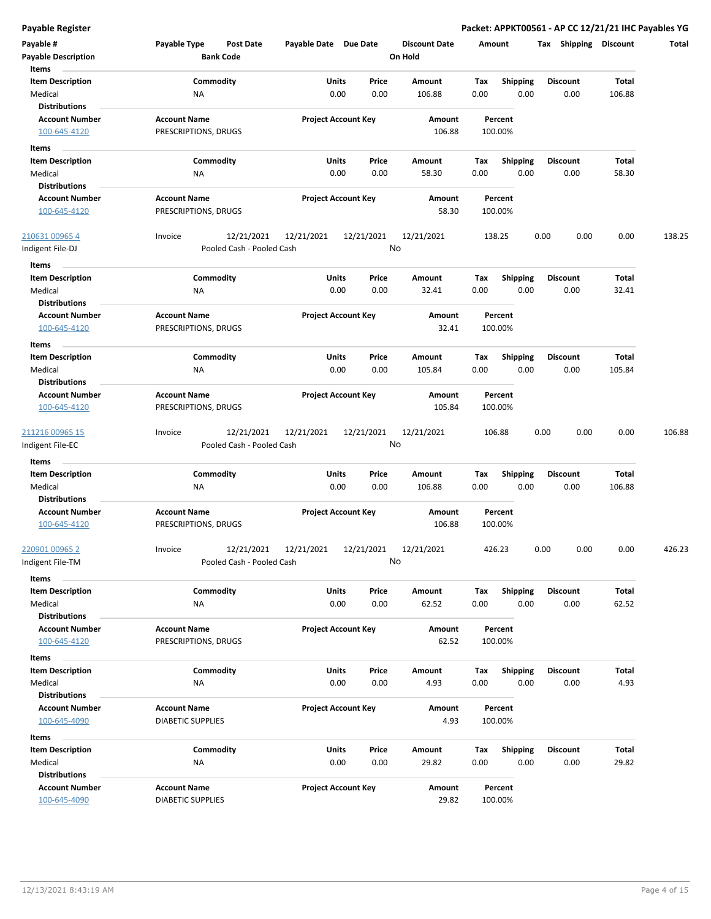**Payable Register Packet: APPKT00561 - AP CC 12/21/21 IHC Payables YG**

| Payable #<br><b>Payable Description</b> | Payable Type             | <b>Post Date</b><br><b>Bank Code</b> | Payable Date Due Date |                            | On Hold | <b>Discount Date</b> | Amount |                 | Tax  | Shipping        | <b>Discount</b> | Total  |
|-----------------------------------------|--------------------------|--------------------------------------|-----------------------|----------------------------|---------|----------------------|--------|-----------------|------|-----------------|-----------------|--------|
| Items                                   |                          |                                      |                       |                            |         |                      |        |                 |      |                 |                 |        |
| <b>Item Description</b>                 |                          | Commodity                            |                       | Units<br>Price             |         | Amount               | Tax    | <b>Shipping</b> |      | <b>Discount</b> | Total           |        |
| Medical                                 | ΝA                       |                                      |                       | 0.00<br>0.00               |         | 106.88               | 0.00   | 0.00            |      | 0.00            | 106.88          |        |
| <b>Distributions</b>                    |                          |                                      |                       |                            |         |                      |        |                 |      |                 |                 |        |
| <b>Account Number</b>                   | <b>Account Name</b>      |                                      |                       | <b>Project Account Key</b> |         | Amount               |        | Percent         |      |                 |                 |        |
| 100-645-4120                            | PRESCRIPTIONS, DRUGS     |                                      |                       |                            |         | 106.88               |        | 100.00%         |      |                 |                 |        |
| Items                                   |                          |                                      |                       |                            |         |                      |        |                 |      |                 |                 |        |
| <b>Item Description</b>                 |                          | Commodity                            |                       | Units<br>Price             |         | Amount               | Тах    | Shipping        |      | <b>Discount</b> | Total           |        |
| Medical                                 | ΝA                       |                                      |                       | 0.00<br>0.00               |         | 58.30                | 0.00   | 0.00            |      | 0.00            | 58.30           |        |
| <b>Distributions</b>                    |                          |                                      |                       |                            |         |                      |        |                 |      |                 |                 |        |
| <b>Account Number</b>                   | <b>Account Name</b>      |                                      |                       | <b>Project Account Key</b> |         | Amount               |        | Percent         |      |                 |                 |        |
| 100-645-4120                            | PRESCRIPTIONS, DRUGS     |                                      |                       |                            |         | 58.30                |        | 100.00%         |      |                 |                 |        |
| 210631 00965 4                          | Invoice                  | 12/21/2021                           | 12/21/2021            | 12/21/2021                 |         | 12/21/2021           |        | 138.25          | 0.00 | 0.00            | 0.00            | 138.25 |
| ndigent File-DJ                         |                          | Pooled Cash - Pooled Cash            |                       |                            | No      |                      |        |                 |      |                 |                 |        |
| Items                                   |                          |                                      |                       |                            |         |                      |        |                 |      |                 |                 |        |
| <b>Item Description</b>                 |                          | Commodity                            |                       | Units<br>Price             |         | Amount               | Tax    | <b>Shipping</b> |      | <b>Discount</b> | Total           |        |
| Medical                                 | <b>NA</b>                |                                      |                       | 0.00<br>0.00               |         | 32.41                | 0.00   | 0.00            |      | 0.00            | 32.41           |        |
| <b>Distributions</b>                    |                          |                                      |                       |                            |         |                      |        |                 |      |                 |                 |        |
| <b>Account Number</b>                   | <b>Account Name</b>      |                                      |                       | <b>Project Account Key</b> |         | Amount               |        | Percent         |      |                 |                 |        |
| 100-645-4120                            | PRESCRIPTIONS, DRUGS     |                                      |                       |                            |         | 32.41                |        | 100.00%         |      |                 |                 |        |
| Items                                   |                          |                                      |                       |                            |         |                      |        |                 |      |                 |                 |        |
| <b>Item Description</b>                 |                          | Commodity                            |                       | Units<br>Price             |         | Amount               | Тах    | <b>Shipping</b> |      | <b>Discount</b> | Total           |        |
| Medical                                 | ΝA                       |                                      |                       | 0.00<br>0.00               |         | 105.84               | 0.00   | 0.00            |      | 0.00            | 105.84          |        |
| <b>Distributions</b>                    |                          |                                      |                       |                            |         |                      |        |                 |      |                 |                 |        |
| <b>Account Number</b>                   | <b>Account Name</b>      |                                      |                       | <b>Project Account Key</b> |         | Amount               |        | Percent         |      |                 |                 |        |
| 100-645-4120                            | PRESCRIPTIONS, DRUGS     |                                      |                       |                            |         | 105.84               |        | 100.00%         |      |                 |                 |        |
|                                         |                          |                                      |                       |                            |         |                      |        |                 |      |                 |                 |        |
| <u>211216 00965 15</u>                  | Invoice                  | 12/21/2021                           | 12/21/2021            | 12/21/2021                 |         | 12/21/2021           |        | 106.88          | 0.00 | 0.00            | 0.00            | 106.88 |
| ndigent File-EC                         |                          | Pooled Cash - Pooled Cash            |                       |                            | No      |                      |        |                 |      |                 |                 |        |
| Items                                   |                          |                                      |                       |                            |         |                      |        |                 |      |                 |                 |        |
| <b>Item Description</b>                 |                          | Commodity                            |                       | Units<br>Price             |         | Amount               | Tax    | <b>Shipping</b> |      | Discount        | Total           |        |
| Medical                                 | ΝA                       |                                      |                       | 0.00<br>0.00               |         | 106.88               | 0.00   | 0.00            |      | 0.00            | 106.88          |        |
| <b>Distributions</b>                    |                          |                                      |                       |                            |         |                      |        |                 |      |                 |                 |        |
| <b>Account Number</b>                   | <b>Account Name</b>      |                                      |                       | <b>Project Account Key</b> |         | Amount               |        | Percent         |      |                 |                 |        |
| 100-645-4120                            | PRESCRIPTIONS, DRUGS     |                                      |                       |                            |         | 106.88               |        | 100.00%         |      |                 |                 |        |
| 220901 00965 2                          | Invoice                  | 12/21/2021                           | 12/21/2021            | 12/21/2021                 |         | 12/21/2021           |        | 426.23          | 0.00 | 0.00            | 0.00            | 426.23 |
| ndigent File-TM                         |                          | Pooled Cash - Pooled Cash            |                       |                            | No      |                      |        |                 |      |                 |                 |        |
| <b>Items</b>                            |                          |                                      |                       |                            |         |                      |        |                 |      |                 |                 |        |
| <b>Item Description</b>                 |                          | Commodity                            |                       | Units<br>Price             |         | Amount               | Tax    | Shipping        |      | <b>Discount</b> | Total           |        |
| Medical                                 | <b>NA</b>                |                                      |                       | 0.00<br>0.00               |         | 62.52                | 0.00   | 0.00            |      | 0.00            | 62.52           |        |
| <b>Distributions</b>                    |                          |                                      |                       |                            |         |                      |        |                 |      |                 |                 |        |
| <b>Account Number</b>                   | <b>Account Name</b>      |                                      |                       | <b>Project Account Key</b> |         | Amount               |        | Percent         |      |                 |                 |        |
| 100-645-4120                            | PRESCRIPTIONS, DRUGS     |                                      |                       |                            |         | 62.52                |        | 100.00%         |      |                 |                 |        |
|                                         |                          |                                      |                       |                            |         |                      |        |                 |      |                 |                 |        |
| Items                                   |                          |                                      |                       |                            |         |                      |        |                 |      |                 |                 |        |
| <b>Item Description</b>                 |                          | Commodity                            |                       | Units<br>Price             |         | Amount               | Tax    | <b>Shipping</b> |      | Discount        | Total           |        |
| Medical<br><b>Distributions</b>         | ΝA                       |                                      |                       | 0.00<br>0.00               |         | 4.93                 | 0.00   | 0.00            |      | 0.00            | 4.93            |        |
| <b>Account Number</b>                   | <b>Account Name</b>      |                                      |                       | <b>Project Account Key</b> |         | Amount               |        | Percent         |      |                 |                 |        |
|                                         |                          |                                      |                       |                            |         | 4.93                 |        |                 |      |                 |                 |        |
| 100-645-4090                            | <b>DIABETIC SUPPLIES</b> |                                      |                       |                            |         |                      |        | 100.00%         |      |                 |                 |        |
| Items                                   |                          |                                      |                       |                            |         |                      |        |                 |      |                 |                 |        |
| <b>Item Description</b>                 |                          | Commodity                            |                       | Units<br>Price             |         | Amount               | Tax    | <b>Shipping</b> |      | Discount        | Total           |        |
| Medical                                 | NA                       |                                      |                       | 0.00<br>0.00               |         | 29.82                | 0.00   | 0.00            |      | 0.00            | 29.82           |        |
| <b>Distributions</b>                    |                          |                                      |                       |                            |         |                      |        |                 |      |                 |                 |        |
| <b>Account Number</b>                   | <b>Account Name</b>      |                                      |                       | <b>Project Account Key</b> |         | Amount               |        | Percent         |      |                 |                 |        |
| 100-645-4090                            | <b>DIABETIC SUPPLIES</b> |                                      |                       |                            |         | 29.82                |        | 100.00%         |      |                 |                 |        |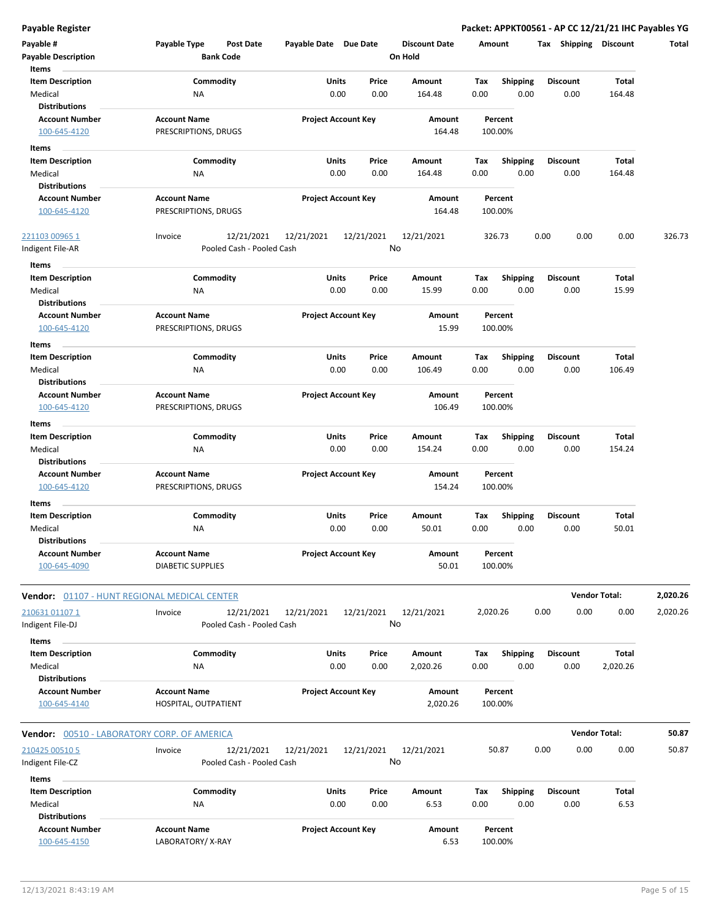**Payable Register Packet: APPKT00561 - AP CC 12/21/21 IHC Payables YG**

| Payable #<br><b>Payable Description</b>                       | Payable Type<br>Post Date<br><b>Bank Code</b>      | Payable Date Due Date      | <b>Discount Date</b><br>On Hold     | Amount                                 | Shipping<br>Tax         | <b>Discount</b>          | Total    |
|---------------------------------------------------------------|----------------------------------------------------|----------------------------|-------------------------------------|----------------------------------------|-------------------------|--------------------------|----------|
| Items                                                         |                                                    |                            |                                     |                                        |                         |                          |          |
| <b>Item Description</b><br>Medical                            | Commodity<br>NA                                    | Units<br>0.00              | Price<br>Amount<br>0.00<br>164.48   | Tax<br><b>Shipping</b><br>0.00<br>0.00 | Discount<br>0.00        | Total<br>164.48          |          |
| <b>Distributions</b>                                          |                                                    |                            |                                     |                                        |                         |                          |          |
| <b>Account Number</b><br>100-645-4120                         | <b>Account Name</b><br>PRESCRIPTIONS, DRUGS        | <b>Project Account Key</b> | Amount<br>164.48                    | Percent<br>100.00%                     |                         |                          |          |
| Items                                                         |                                                    |                            |                                     |                                        |                         |                          |          |
| <b>Item Description</b><br>Medical<br><b>Distributions</b>    | Commodity<br>NA                                    | Units<br>0.00              | Price<br>Amount<br>0.00<br>164.48   | Tax<br><b>Shipping</b><br>0.00<br>0.00 | <b>Discount</b><br>0.00 | <b>Total</b><br>164.48   |          |
| <b>Account Number</b><br>100-645-4120                         | <b>Account Name</b><br>PRESCRIPTIONS, DRUGS        | <b>Project Account Key</b> | Amount<br>164.48                    | Percent<br>100.00%                     |                         |                          |          |
| <u>221103 00965 1</u><br>Indigent File-AR                     | 12/21/2021<br>Invoice<br>Pooled Cash - Pooled Cash | 12/21/2021<br>12/21/2021   | 12/21/2021<br>No                    | 326.73                                 | 0.00<br>0.00            | 0.00                     | 326.73   |
| Items                                                         |                                                    |                            |                                     |                                        |                         |                          |          |
| <b>Item Description</b><br>Medical                            | Commodity<br>NA                                    | <b>Units</b><br>0.00       | Price<br>Amount<br>0.00<br>15.99    | Tax<br><b>Shipping</b><br>0.00<br>0.00 | Discount<br>0.00        | <b>Total</b><br>15.99    |          |
| <b>Distributions</b><br><b>Account Number</b>                 | <b>Account Name</b>                                | <b>Project Account Key</b> | Amount                              | Percent                                |                         |                          |          |
| 100-645-4120                                                  | PRESCRIPTIONS, DRUGS                               |                            | 15.99                               | 100.00%                                |                         |                          |          |
| Items                                                         |                                                    |                            |                                     |                                        | <b>Discount</b>         |                          |          |
| <b>Item Description</b><br>Medical<br><b>Distributions</b>    | Commodity<br>NA                                    | Units<br>0.00              | Price<br>Amount<br>0.00<br>106.49   | <b>Shipping</b><br>Tax<br>0.00<br>0.00 | 0.00                    | Total<br>106.49          |          |
| <b>Account Number</b><br>100-645-4120                         | <b>Account Name</b><br>PRESCRIPTIONS, DRUGS        | <b>Project Account Key</b> | Amount<br>106.49                    | Percent<br>100.00%                     |                         |                          |          |
| Items                                                         |                                                    |                            |                                     |                                        |                         |                          |          |
| <b>Item Description</b><br>Medical<br><b>Distributions</b>    | Commodity<br>NA                                    | Units<br>0.00              | Price<br>Amount<br>0.00<br>154.24   | Tax<br><b>Shipping</b><br>0.00<br>0.00 | Discount<br>0.00        | Total<br>154.24          |          |
| <b>Account Number</b><br>100-645-4120                         | <b>Account Name</b><br>PRESCRIPTIONS, DRUGS        | <b>Project Account Key</b> | Amount<br>154.24                    | Percent<br>100.00%                     |                         |                          |          |
| Items                                                         |                                                    |                            |                                     |                                        |                         |                          |          |
| <b>Item Description</b><br>Medical                            | Commodity<br>NA                                    | Units<br>0.00              | Price<br>Amount<br>0.00<br>50.01    | Tax<br><b>Shipping</b><br>0.00<br>0.00 | <b>Discount</b><br>0.00 | Total<br>50.01           |          |
| <b>Distributions</b><br><b>Account Number</b><br>100-645-4090 | <b>Account Name</b><br><b>DIABETIC SUPPLIES</b>    | <b>Project Account Key</b> | Amount<br>50.01                     | Percent<br>100.00%                     |                         |                          |          |
| <b>Vendor:</b> 01107 - HUNT REGIONAL MEDICAL CENTER           |                                                    |                            |                                     |                                        |                         | <b>Vendor Total:</b>     | 2,020.26 |
| 210631 01107 1<br>ndigent File-DJ                             | 12/21/2021<br>Invoice<br>Pooled Cash - Pooled Cash | 12/21/2021<br>12/21/2021   | 12/21/2021<br>No                    | 2,020.26                               | 0.00<br>0.00            | 0.00                     | 2,020.26 |
| Items                                                         |                                                    |                            |                                     |                                        |                         |                          |          |
| <b>Item Description</b><br>Medical<br><b>Distributions</b>    | Commodity<br>NA                                    | <b>Units</b><br>0.00       | Amount<br>Price<br>2,020.26<br>0.00 | Shipping<br>Tax<br>0.00<br>0.00        | <b>Discount</b><br>0.00 | <b>Total</b><br>2,020.26 |          |
| <b>Account Number</b><br>100-645-4140                         | <b>Account Name</b><br>HOSPITAL, OUTPATIENT        | <b>Project Account Key</b> | Amount<br>2,020.26                  | Percent<br>100.00%                     |                         |                          |          |
| Vendor: 00510 - LABORATORY CORP. OF AMERICA                   |                                                    |                            |                                     |                                        |                         | <b>Vendor Total:</b>     | 50.87    |
|                                                               |                                                    |                            |                                     |                                        |                         |                          |          |
| 210425 00510 5<br>ndigent File-CZ                             | 12/21/2021<br>Invoice<br>Pooled Cash - Pooled Cash | 12/21/2021<br>12/21/2021   | 12/21/2021<br>No                    | 50.87                                  | 0.00<br>0.00            | 0.00                     | 50.87    |
| Items<br><b>Item Description</b>                              | Commodity                                          | <b>Units</b>               | Price<br>Amount                     | Shipping<br>Tax                        | <b>Discount</b>         | <b>Total</b>             |          |
| Medical<br><b>Distributions</b>                               | NA                                                 | 0.00                       | 0.00<br>6.53                        | 0.00<br>0.00                           | 0.00                    | 6.53                     |          |
| <b>Account Number</b><br>100-645-4150                         | <b>Account Name</b><br>LABORATORY/X-RAY            | <b>Project Account Key</b> | Amount<br>6.53                      | Percent<br>100.00%                     |                         |                          |          |

 $\overline{a}$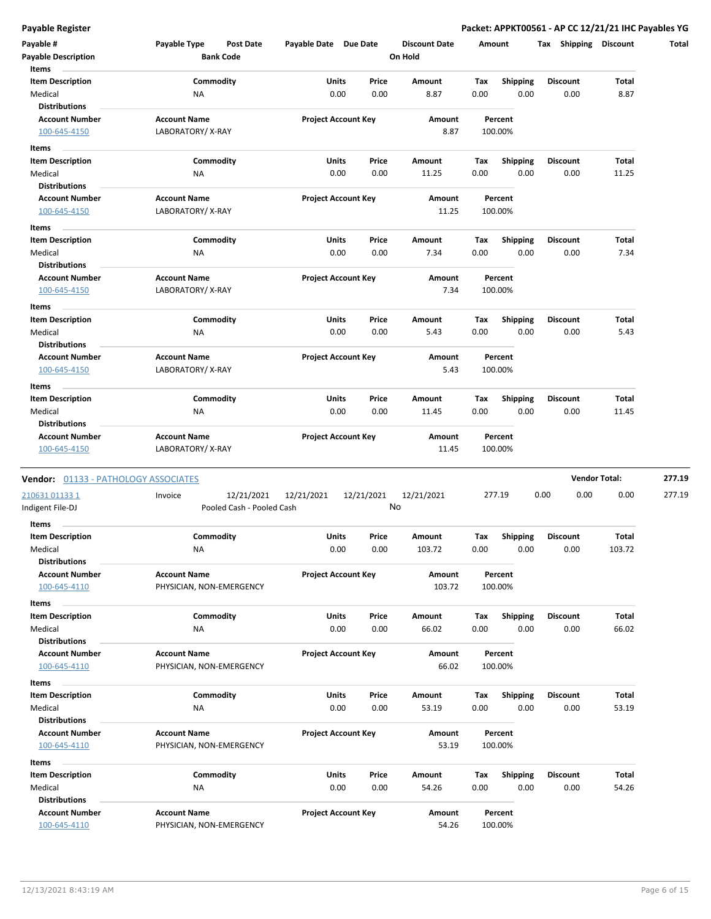**Payable Register Packet: APPKT00561 - AP CC 12/21/21 IHC Payables YG**

| Payable #<br><b>Payable Description</b>       | Payable Type<br><b>Post Date</b><br><b>Bank Code</b> | Payable Date Due Date     |                                | <b>Discount Date</b><br>On Hold | Amount      |                         | <b>Shipping</b><br>Tax  | <b>Discount</b>      | Total  |
|-----------------------------------------------|------------------------------------------------------|---------------------------|--------------------------------|---------------------------------|-------------|-------------------------|-------------------------|----------------------|--------|
| Items                                         |                                                      |                           |                                |                                 |             |                         |                         |                      |        |
| <b>Item Description</b><br>Medical            | Commodity<br><b>NA</b>                               |                           | Units<br>Price<br>0.00<br>0.00 | Amount<br>8.87                  | Tax<br>0.00 | <b>Shipping</b><br>0.00 | <b>Discount</b><br>0.00 | Total<br>8.87        |        |
| <b>Distributions</b>                          |                                                      |                           |                                |                                 |             |                         |                         |                      |        |
| <b>Account Number</b><br>100-645-4150         | <b>Account Name</b><br>LABORATORY/X-RAY              |                           | <b>Project Account Key</b>     | Amount<br>8.87                  |             | Percent<br>100.00%      |                         |                      |        |
| Items                                         |                                                      |                           |                                |                                 |             |                         |                         |                      |        |
| <b>Item Description</b>                       | Commodity                                            |                           | Units<br>Price                 | Amount                          | Tax         | <b>Shipping</b>         | <b>Discount</b>         | Total                |        |
| Medical                                       | <b>NA</b>                                            |                           | 0.00<br>0.00                   | 11.25                           | 0.00        | 0.00                    | 0.00                    | 11.25                |        |
| <b>Distributions</b>                          |                                                      |                           | <b>Project Account Key</b>     | Amount                          |             | Percent                 |                         |                      |        |
| <b>Account Number</b><br>100-645-4150         | <b>Account Name</b><br>LABORATORY/X-RAY              |                           |                                | 11.25                           |             | 100.00%                 |                         |                      |        |
| Items                                         |                                                      |                           |                                |                                 |             |                         |                         |                      |        |
| <b>Item Description</b>                       | Commodity                                            |                           | Units<br>Price                 | Amount                          | Tax         | <b>Shipping</b>         | <b>Discount</b>         | Total                |        |
| Medical                                       | NA                                                   |                           | 0.00<br>0.00                   | 7.34                            | 0.00        | 0.00                    | 0.00                    | 7.34                 |        |
| <b>Distributions</b><br><b>Account Number</b> | <b>Account Name</b>                                  |                           | <b>Project Account Key</b>     | Amount                          |             | Percent                 |                         |                      |        |
| 100-645-4150                                  | LABORATORY/X-RAY                                     |                           |                                | 7.34                            |             | 100.00%                 |                         |                      |        |
| Items                                         |                                                      |                           |                                |                                 |             |                         |                         |                      |        |
| <b>Item Description</b>                       | Commodity                                            |                           | Units<br>Price                 | Amount                          | Tax         | <b>Shipping</b>         | <b>Discount</b>         | Total                |        |
| Medical<br><b>Distributions</b>               | <b>NA</b>                                            |                           | 0.00<br>0.00                   | 5.43                            | 0.00        | 0.00                    | 0.00                    | 5.43                 |        |
| <b>Account Number</b>                         | <b>Account Name</b>                                  |                           | <b>Project Account Key</b>     | Amount                          |             | Percent                 |                         |                      |        |
| 100-645-4150                                  | LABORATORY/X-RAY                                     |                           |                                | 5.43                            |             | 100.00%                 |                         |                      |        |
| Items                                         |                                                      |                           |                                |                                 |             |                         |                         |                      |        |
| <b>Item Description</b>                       | Commodity                                            |                           | Units<br>Price                 | Amount                          | Tax         | <b>Shipping</b>         | <b>Discount</b>         | Total                |        |
| Medical<br><b>Distributions</b>               | <b>NA</b>                                            |                           | 0.00<br>0.00                   | 11.45                           | 0.00        | 0.00                    | 0.00                    | 11.45                |        |
| <b>Account Number</b>                         | <b>Account Name</b>                                  |                           | <b>Project Account Key</b>     | Amount                          |             | Percent                 |                         |                      |        |
| 100-645-4150                                  | LABORATORY/X-RAY                                     |                           |                                | 11.45                           |             | 100.00%                 |                         |                      |        |
| Vendor: 01133 - PATHOLOGY ASSOCIATES          |                                                      |                           |                                |                                 |             |                         |                         | <b>Vendor Total:</b> | 277.19 |
| 210631 01133 1                                | Invoice                                              | 12/21/2021<br>12/21/2021  | 12/21/2021                     | 12/21/2021                      |             | 277.19                  | 0.00<br>0.00            | 0.00                 | 277.19 |
| Indigent File-DJ                              |                                                      | Pooled Cash - Pooled Cash |                                | No                              |             |                         |                         |                      |        |
| Items                                         |                                                      |                           |                                |                                 |             |                         |                         |                      |        |
| <b>Item Description</b>                       | Commodity                                            |                           | Units<br>Price                 | Amount                          | Tax         | <b>Shipping</b>         | <b>Discount</b>         | Total                |        |
| Medical                                       | <b>NA</b>                                            |                           | 0.00<br>0.00                   | 103.72                          | 0.00        | 0.00                    | 0.00                    | 103.72               |        |
| Distributions<br><b>Account Number</b>        | <b>Account Name</b>                                  |                           | <b>Project Account Key</b>     | Amount                          |             | Percent                 |                         |                      |        |
| 100-645-4110                                  | PHYSICIAN, NON-EMERGENCY                             |                           |                                | 103.72                          |             | 100.00%                 |                         |                      |        |
| Items                                         |                                                      |                           |                                |                                 |             |                         |                         |                      |        |
| <b>Item Description</b>                       | Commodity                                            |                           | Units<br>Price                 | Amount                          | Тах         | <b>Shipping</b>         | <b>Discount</b>         | Total                |        |
| Medical<br><b>Distributions</b>               | ΝA                                                   |                           | 0.00<br>0.00                   | 66.02                           | 0.00        | 0.00                    | 0.00                    | 66.02                |        |
| <b>Account Number</b>                         | <b>Account Name</b>                                  |                           | <b>Project Account Key</b>     | Amount                          |             | Percent                 |                         |                      |        |
| 100-645-4110                                  | PHYSICIAN, NON-EMERGENCY                             |                           |                                | 66.02                           |             | 100.00%                 |                         |                      |        |
| Items                                         |                                                      |                           |                                |                                 |             |                         |                         |                      |        |
| <b>Item Description</b>                       | Commodity                                            |                           | Units<br>Price                 | Amount                          | Tax         | <b>Shipping</b>         | <b>Discount</b>         | Total                |        |
| Medical                                       | ΝA                                                   |                           | 0.00<br>0.00                   | 53.19                           | 0.00        | 0.00                    | 0.00                    | 53.19                |        |
| <b>Distributions</b><br><b>Account Number</b> | <b>Account Name</b>                                  |                           | <b>Project Account Key</b>     | Amount                          |             | Percent                 |                         |                      |        |
| 100-645-4110                                  | PHYSICIAN, NON-EMERGENCY                             |                           |                                | 53.19                           |             | 100.00%                 |                         |                      |        |
| Items                                         |                                                      |                           |                                |                                 |             |                         |                         |                      |        |
| <b>Item Description</b>                       | Commodity                                            |                           | Units<br>Price                 | Amount                          | Tax         | Shipping                | Discount                | Total                |        |
| Medical                                       | ΝA                                                   |                           | 0.00<br>0.00                   | 54.26                           | 0.00        | 0.00                    | 0.00                    | 54.26                |        |
| <b>Distributions</b>                          |                                                      |                           |                                |                                 |             |                         |                         |                      |        |
| <b>Account Number</b>                         | <b>Account Name</b>                                  |                           | <b>Project Account Key</b>     | Amount                          |             | Percent                 |                         |                      |        |
| 100-645-4110                                  | PHYSICIAN, NON-EMERGENCY                             |                           |                                | 54.26                           |             | 100.00%                 |                         |                      |        |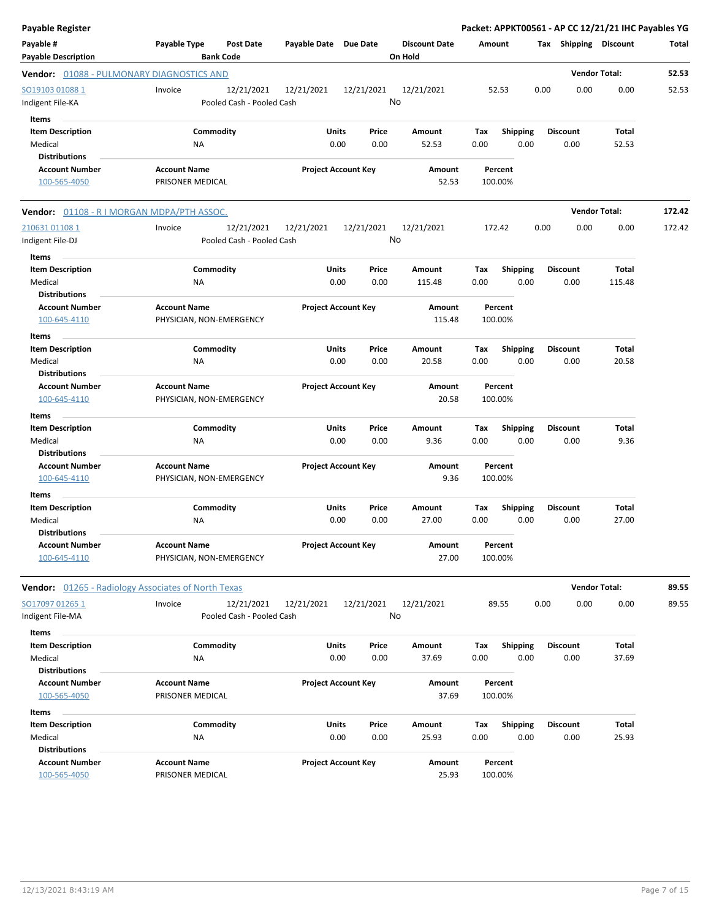| <b>Payable Register</b>                                             |                                                 |                                         |                       |                            |                                 |             |                         |                         | Packet: APPKT00561 - AP CC 12/21/21 IHC Payables YG |        |
|---------------------------------------------------------------------|-------------------------------------------------|-----------------------------------------|-----------------------|----------------------------|---------------------------------|-------------|-------------------------|-------------------------|-----------------------------------------------------|--------|
| Payable #<br><b>Payable Description</b>                             | Payable Type                                    | Post Date<br><b>Bank Code</b>           | Payable Date Due Date |                            | <b>Discount Date</b><br>On Hold | Amount      |                         |                         | Tax Shipping Discount                               | Total  |
| Vendor: 01088 - PULMONARY DIAGNOSTICS AND                           |                                                 |                                         |                       |                            |                                 |             |                         |                         | <b>Vendor Total:</b>                                | 52.53  |
| SO19103 010881<br>Indigent File-KA                                  | Invoice                                         | 12/21/2021<br>Pooled Cash - Pooled Cash | 12/21/2021            | 12/21/2021                 | 12/21/2021<br>No                |             | 52.53                   | 0.00<br>0.00            | 0.00                                                | 52.53  |
| Items<br><b>Item Description</b><br>Medical                         | Commodity<br>ΝA                                 |                                         | Units                 | Price<br>0.00<br>0.00      | Amount<br>52.53                 | Тах<br>0.00 | Shipping<br>0.00        | <b>Discount</b><br>0.00 | Total<br>52.53                                      |        |
| <b>Distributions</b><br><b>Account Number</b><br>100-565-4050       | <b>Account Name</b><br>PRISONER MEDICAL         |                                         |                       | <b>Project Account Key</b> | Amount<br>52.53                 |             | Percent<br>100.00%      |                         |                                                     |        |
| <b>Vendor:</b> 01108 - R I MORGAN MDPA/PTH ASSOC.                   |                                                 |                                         |                       |                            |                                 |             |                         |                         | <b>Vendor Total:</b>                                | 172.42 |
| 210631 01108 1<br>Indigent File-DJ                                  | Invoice                                         | 12/21/2021<br>Pooled Cash - Pooled Cash | 12/21/2021            | 12/21/2021                 | 12/21/2021<br>No                |             | 172.42                  | 0.00<br>0.00            | 0.00                                                | 172.42 |
| Items<br><b>Item Description</b><br>Medical                         | Commodity<br>NA                                 |                                         | Units                 | Price<br>0.00<br>0.00      | Amount<br>115.48                | Tax<br>0.00 | <b>Shipping</b><br>0.00 | <b>Discount</b><br>0.00 | Total<br>115.48                                     |        |
| <b>Distributions</b><br><b>Account Number</b><br>100-645-4110       | <b>Account Name</b><br>PHYSICIAN, NON-EMERGENCY |                                         |                       | <b>Project Account Key</b> | Amount<br>115.48                |             | Percent<br>100.00%      |                         |                                                     |        |
| Items<br><b>Item Description</b><br>Medical<br><b>Distributions</b> | Commodity<br><b>NA</b>                          |                                         | Units                 | Price<br>0.00<br>0.00      | Amount<br>20.58                 | Tax<br>0.00 | <b>Shipping</b><br>0.00 | <b>Discount</b><br>0.00 | Total<br>20.58                                      |        |
| <b>Account Number</b><br>100-645-4110                               | <b>Account Name</b><br>PHYSICIAN, NON-EMERGENCY |                                         |                       | <b>Project Account Key</b> | Amount<br>20.58                 |             | Percent<br>100.00%      |                         |                                                     |        |
| Items<br><b>Item Description</b><br>Medical<br><b>Distributions</b> | Commodity<br>ΝA                                 |                                         | Units                 | Price<br>0.00<br>0.00      | Amount<br>9.36                  | Tax<br>0.00 | <b>Shipping</b><br>0.00 | <b>Discount</b><br>0.00 | Total<br>9.36                                       |        |
| <b>Account Number</b><br>100-645-4110                               | <b>Account Name</b><br>PHYSICIAN, NON-EMERGENCY |                                         |                       | <b>Project Account Key</b> | Amount<br>9.36                  |             | Percent<br>100.00%      |                         |                                                     |        |
| Items<br><b>Item Description</b><br>Medical<br><b>Distributions</b> | Commodity<br><b>NA</b>                          |                                         | Units                 | Price<br>0.00<br>0.00      | Amount<br>27.00                 | Tax<br>0.00 | <b>Shipping</b><br>0.00 | <b>Discount</b><br>0.00 | Total<br>27.00                                      |        |
| <b>Account Number</b><br>100-645-4110                               | <b>Account Name</b><br>PHYSICIAN, NON-EMERGENCY |                                         |                       | <b>Project Account Key</b> | Amount<br>27.00                 |             | Percent<br>100.00%      |                         |                                                     |        |
| Vendor: 01265 - Radiology Associates of North Texas                 |                                                 |                                         |                       |                            |                                 |             |                         |                         | <b>Vendor Total:</b>                                | 89.55  |
| SO17097 01265 1<br>Indigent File-MA                                 | Invoice                                         | 12/21/2021<br>Pooled Cash - Pooled Cash | 12/21/2021            | 12/21/2021                 | 12/21/2021<br>No                |             | 89.55                   | 0.00<br>0.00            | 0.00                                                | 89.55  |
| Items<br><b>Item Description</b><br>Medical<br><b>Distributions</b> | Commodity<br><b>NA</b>                          |                                         | Units                 | Price<br>0.00<br>0.00      | Amount<br>37.69                 | Tax<br>0.00 | <b>Shipping</b><br>0.00 | <b>Discount</b><br>0.00 | <b>Total</b><br>37.69                               |        |
| <b>Account Number</b><br>100-565-4050                               | <b>Account Name</b><br>PRISONER MEDICAL         |                                         |                       | <b>Project Account Key</b> | Amount<br>37.69                 |             | Percent<br>100.00%      |                         |                                                     |        |
| Items<br><b>Item Description</b><br>Medical<br><b>Distributions</b> | Commodity<br>NA                                 |                                         | Units                 | Price<br>0.00<br>0.00      | Amount<br>25.93                 | Tax<br>0.00 | <b>Shipping</b><br>0.00 | <b>Discount</b><br>0.00 | Total<br>25.93                                      |        |
| <b>Account Number</b><br>100-565-4050                               | <b>Account Name</b><br>PRISONER MEDICAL         |                                         |                       | <b>Project Account Key</b> | Amount<br>25.93                 |             | Percent<br>100.00%      |                         |                                                     |        |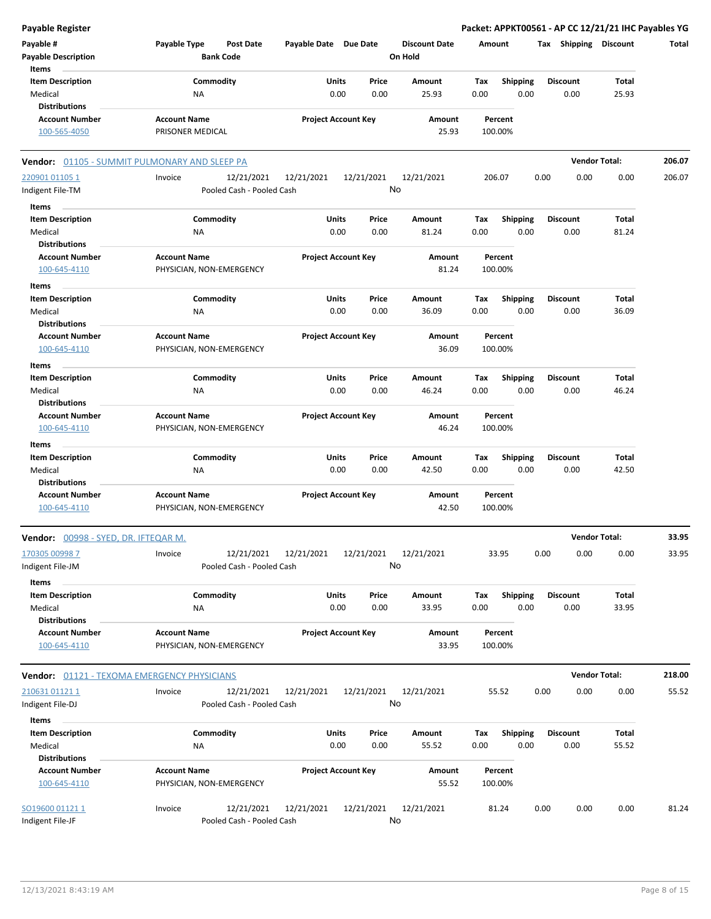| <b>Payable Register</b>                     |                                                    |                            |                  |                      | Packet: APPKT00561 - AP CC 12/21/21 IHC Payables YG |                       |                      |        |
|---------------------------------------------|----------------------------------------------------|----------------------------|------------------|----------------------|-----------------------------------------------------|-----------------------|----------------------|--------|
| Payable #                                   | Payable Type<br><b>Post Date</b>                   | Payable Date Due Date      |                  | <b>Discount Date</b> | Amount                                              | Tax Shipping Discount |                      | Total  |
| <b>Payable Description</b>                  | <b>Bank Code</b>                                   |                            |                  | On Hold              |                                                     |                       |                      |        |
| Items                                       |                                                    |                            |                  |                      |                                                     |                       |                      |        |
| <b>Item Description</b>                     | Commodity                                          | Units                      | Price            | Amount               | <b>Shipping</b><br>Tax                              | <b>Discount</b>       | Total                |        |
| Medical                                     | ΝA                                                 | 0.00                       | 0.00             | 25.93                | 0.00<br>0.00                                        | 0.00                  | 25.93                |        |
| <b>Distributions</b>                        |                                                    |                            |                  |                      |                                                     |                       |                      |        |
| <b>Account Number</b>                       | <b>Account Name</b>                                | <b>Project Account Key</b> |                  | Amount               | Percent                                             |                       |                      |        |
| 100-565-4050                                | PRISONER MEDICAL                                   |                            |                  | 25.93                | 100.00%                                             |                       |                      |        |
|                                             | Vendor: 01105 - SUMMIT PULMONARY AND SLEEP PA      |                            |                  |                      |                                                     |                       | <b>Vendor Total:</b> | 206.07 |
| 220901 01105 1                              | 12/21/2021<br>Invoice                              | 12/21/2021                 | 12/21/2021       | 12/21/2021           | 206.07                                              | 0.00<br>0.00          | 0.00                 | 206.07 |
| Indigent File-TM                            | Pooled Cash - Pooled Cash                          |                            | No               |                      |                                                     |                       |                      |        |
|                                             |                                                    |                            |                  |                      |                                                     |                       |                      |        |
| Items                                       |                                                    |                            |                  |                      |                                                     |                       |                      |        |
| <b>Item Description</b>                     | Commodity                                          | Units                      | Price            | Amount               | Tax<br><b>Shipping</b>                              | <b>Discount</b>       | Total                |        |
| Medical                                     | ΝA                                                 | 0.00                       | 0.00             | 81.24                | 0.00<br>0.00                                        | 0.00                  | 81.24                |        |
| <b>Distributions</b>                        |                                                    |                            |                  |                      |                                                     |                       |                      |        |
| <b>Account Number</b>                       | <b>Account Name</b>                                | <b>Project Account Key</b> |                  | Amount               | Percent                                             |                       |                      |        |
| 100-645-4110                                | PHYSICIAN, NON-EMERGENCY                           |                            |                  | 81.24                | 100.00%                                             |                       |                      |        |
| Items                                       |                                                    |                            |                  |                      |                                                     |                       |                      |        |
| <b>Item Description</b>                     | Commodity                                          | Units                      | Price            | Amount               | Tax<br><b>Shipping</b>                              | Discount              | Total                |        |
| Medical                                     | NA                                                 | 0.00                       | 0.00             | 36.09                | 0.00<br>0.00                                        | 0.00                  | 36.09                |        |
| <b>Distributions</b>                        |                                                    |                            |                  |                      |                                                     |                       |                      |        |
| <b>Account Number</b>                       | <b>Account Name</b>                                | <b>Project Account Key</b> |                  | <b>Amount</b>        | Percent                                             |                       |                      |        |
| 100-645-4110                                | PHYSICIAN, NON-EMERGENCY                           |                            |                  | 36.09                | 100.00%                                             |                       |                      |        |
|                                             |                                                    |                            |                  |                      |                                                     |                       |                      |        |
| Items                                       |                                                    |                            |                  |                      |                                                     |                       |                      |        |
| <b>Item Description</b>                     | Commodity                                          | Units                      | Price            | Amount               | <b>Shipping</b><br>Tax                              | <b>Discount</b>       | Total                |        |
| Medical                                     | ΝA                                                 | 0.00                       | 0.00             | 46.24                | 0.00<br>0.00                                        | 0.00                  | 46.24                |        |
| <b>Distributions</b>                        |                                                    |                            |                  |                      |                                                     |                       |                      |        |
| <b>Account Number</b>                       | <b>Account Name</b>                                | <b>Project Account Key</b> |                  | Amount               | Percent                                             |                       |                      |        |
| 100-645-4110                                | PHYSICIAN, NON-EMERGENCY                           |                            |                  | 46.24                | 100.00%                                             |                       |                      |        |
| Items                                       |                                                    |                            |                  |                      |                                                     |                       |                      |        |
| <b>Item Description</b>                     | Commodity                                          | Units                      | Price            | Amount               | Tax<br><b>Shipping</b>                              | Discount              | Total                |        |
| Medical                                     | ΝA                                                 | 0.00                       | 0.00             | 42.50                | 0.00<br>0.00                                        | 0.00                  | 42.50                |        |
| <b>Distributions</b>                        |                                                    |                            |                  |                      |                                                     |                       |                      |        |
| <b>Account Number</b>                       | <b>Account Name</b>                                | <b>Project Account Key</b> |                  | Amount               | Percent                                             |                       |                      |        |
| 100-645-4110                                | PHYSICIAN, NON-EMERGENCY                           |                            |                  | 42.50                | 100.00%                                             |                       |                      |        |
| Vendor: 00998 - SYED, DR. IFTEQAR M.        |                                                    |                            |                  |                      |                                                     |                       | <b>Vendor Total:</b> | 33.95  |
| 170305 00998 7                              | 12/21/2021<br>Invoice                              | 12/21/2021                 | 12/21/2021       | 12/21/2021           | 33.95                                               | 0.00<br>0.00          | 0.00                 | 33.95  |
| Indigent File-JM                            | Pooled Cash - Pooled Cash                          |                            | No               |                      |                                                     |                       |                      |        |
|                                             |                                                    |                            |                  |                      |                                                     |                       |                      |        |
| Items                                       |                                                    |                            |                  |                      |                                                     |                       |                      |        |
| <b>Item Description</b>                     | Commodity                                          | Units                      | Price            | Amount               | <b>Shipping</b><br>Tax                              | <b>Discount</b>       | Total                |        |
| Medical                                     | ΝA                                                 | 0.00                       | 0.00             | 33.95                | 0.00<br>0.00                                        | 0.00                  | 33.95                |        |
| <b>Distributions</b>                        |                                                    |                            |                  |                      |                                                     |                       |                      |        |
| <b>Account Number</b><br>100-645-4110       | <b>Account Name</b><br>PHYSICIAN, NON-EMERGENCY    | <b>Project Account Key</b> |                  | Amount<br>33.95      | Percent<br>100.00%                                  |                       |                      |        |
| Vendor: 01121 - TEXOMA EMERGENCY PHYSICIANS |                                                    |                            |                  |                      |                                                     |                       | <b>Vendor Total:</b> | 218.00 |
| 210631 01121 1                              | Invoice<br>12/21/2021                              |                            |                  |                      | 55.52                                               | 0.00<br>0.00          | 0.00                 | 55.52  |
|                                             |                                                    | 12/21/2021                 | 12/21/2021<br>No | 12/21/2021           |                                                     |                       |                      |        |
| Indigent File-DJ                            | Pooled Cash - Pooled Cash                          |                            |                  |                      |                                                     |                       |                      |        |
| Items                                       |                                                    |                            |                  |                      |                                                     |                       |                      |        |
| <b>Item Description</b>                     | Commodity                                          | Units                      | Price            | Amount               | <b>Shipping</b><br>Tax                              | <b>Discount</b>       | Total                |        |
| Medical                                     | ΝA                                                 | 0.00                       | 0.00             | 55.52                | 0.00<br>0.00                                        | 0.00                  | 55.52                |        |
| <b>Distributions</b>                        |                                                    |                            |                  |                      |                                                     |                       |                      |        |
| <b>Account Number</b>                       | <b>Account Name</b>                                | <b>Project Account Key</b> |                  | Amount               | Percent                                             |                       |                      |        |
| 100-645-4110                                | PHYSICIAN, NON-EMERGENCY                           |                            |                  | 55.52                | 100.00%                                             |                       |                      |        |
|                                             |                                                    |                            |                  |                      |                                                     |                       |                      |        |
| SO19600 011211<br>Indigent File-JF          | Invoice<br>12/21/2021<br>Pooled Cash - Pooled Cash | 12/21/2021                 | 12/21/2021<br>No | 12/21/2021           | 81.24                                               | 0.00<br>0.00          | 0.00                 | 81.24  |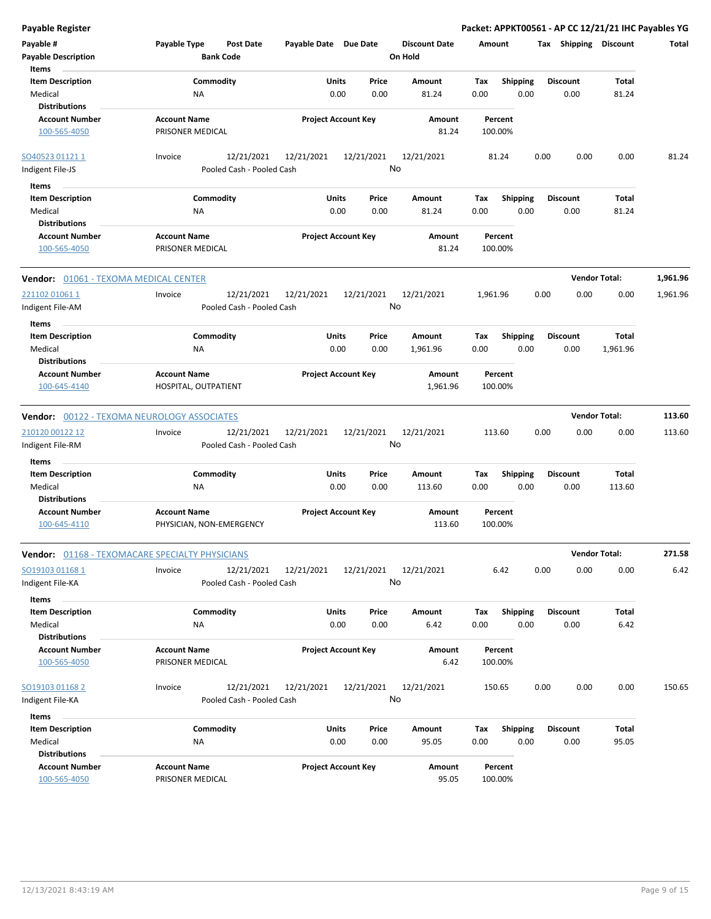**Payable Register Packet: APPKT00561 - AP CC 12/21/21 IHC Payables YG Payable # Payable Type Post Date Payable Date Due Date Payable Description Bank Code Discount Date Amount Tax Shipping Discount Total On Hold** 0.00 0.00 **Units** Medical 0.00 **Item Description** 81.24 **Price Amount Tax** 0.00 81.24 Commodity **Shipping Shipping Commodity Shipping Discount** Total NA **Items** 0.00 **Discount Account Number Account Name Project Account Key Amount Distributions Percent** 100-565-4050 PRISONER MEDICAL 81.24 100.00% 12/21/2021 12/21/2021 12/21/2021 Indigent File-JS Pooled Cash - Pooled Cash SO40523 01121 1 Invoice 12/21/2021 81.24 0.00 0.00 0.00 81.24 No 0.00 0.00 **Units** Medical 0.00 **Item Description** 81.24 **Price Amount Tax** 0.00 81.24 Commodity **Shipping Shipping Commodity Shipping Discount** Total NA **Items** 0.00 **Discount Account Number Account Name Project Account Key Amount Distributions Percent** 100-565-4050 PRISONER MEDICAL 81.24 100.00% **Vendor:** 01061 - TEXOMA MEDICAL CENTER **Vendor Total: 1,961.96** 12/21/2021 12/21/2021 12/21/2021 Indigent File-AM Pooled Cash - Pooled Cash 221102 01061 1 Invoice 12/21/2021 1,961.96 0.00 0.00 0.00 1,961.96 No 0.00 0.00 **Units** Medical 0.00 **Item Description** 1,961.96 **Price Amount Tax** 0.00 1,961.96 Commodity **Shipping Example 1 Commodity Shipping Discount** Total NA **Items** 0.00 **Discount Account Number Account Name Project Account Key Amount Distributions Percent** 100-645-4140 HOSPITAL, OUTPATIENT 1,961.96 100.00% **Vendor:** 00122 - TEXOMA NEUROLOGY ASSOCIATES **Vendor Total: 113.60** 12/21/2021 12/21/2021 12/21/2021 Indigent File-RM **Pooled Cash - Pooled Cash** 210120 00122 12 Invoice 12/21/2021 113.60 0.00 0.00 0.00 113.60 No 0.00 0.00 **Units** Medical 0.00 **Item Description** 113.60 **Price Amount Tax** 0.00 113.60 Commodity **Shipping Example 1 Commodity Shipping Discount** Total NA **Items** 0.00 **Discount Account Number Account Name Project Account Key Amount Distributions Percent** 100-645-4110 PHYSICIAN, NON-EMERGENCY 113.60 100.00% **Vendor:** 01168 - TEXOMACARE SPECIALTY PHYSICIANS **Vendor Total: 271.58** 12/21/2021 12/21/2021 12/21/2021 Indigent File-KA Pooled Cash - Pooled Cash SO19103 01168 1 Invoice 12/21/2021 6.42 0.00 0.00 0.00 6.42 No 0.00 0.00 **Units** Medical 0.00 **Item Description** 6.42 **Price Amount Tax** 0.00 6.42 0.00 Commodity **Shipping Example 1 Commodity Shipping Discount** Total NA **Items Discount Account Number Account Name Project Account Key Amount Distributions Percent** 100-565-4050 PRISONER MEDICAL 6.42 100.00% 12/21/2021 12/21/2021 12/21/2021 Indigent File-KA **Pooled Cash - Pooled Cash** SO19103 01168 2 Invoice 12/21/2021 150.65 0.00 0.00 0.00 150.65 No 0.00 0.00 **Units** Medical 0.00 **Item Description** 95.05 **Price Amount Tax** 0.00 95.05 Commodity **Shipping Shipping Commodity Shipping Discount** Total NA **Items** 0.00 **Discount Account Number Account Name Project Account Key Amount Distributions Percent** 100-565-4050 PRISONER MEDICAL 95.05 100.00%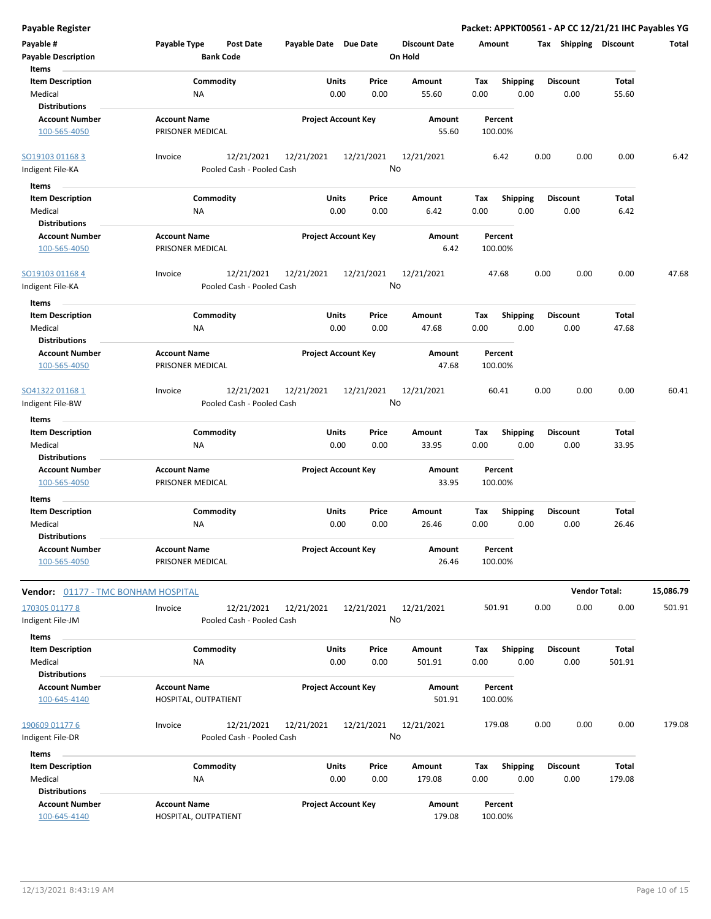| <b>Payable Register</b>                                    |                                                      |                                |                                 | Packet: APPKT00561 - AP CC 12/21/21 IHC Payables YG |                         |                      |           |
|------------------------------------------------------------|------------------------------------------------------|--------------------------------|---------------------------------|-----------------------------------------------------|-------------------------|----------------------|-----------|
| Payable #<br><b>Payable Description</b>                    | Payable Type<br><b>Post Date</b><br><b>Bank Code</b> | Payable Date Due Date          | <b>Discount Date</b><br>On Hold | Amount                                              | Tax Shipping Discount   |                      | Total     |
| Items                                                      |                                                      |                                |                                 |                                                     |                         |                      |           |
| <b>Item Description</b><br>Medical<br><b>Distributions</b> | Commodity<br><b>NA</b>                               | Units<br>Price<br>0.00<br>0.00 | Amount<br>55.60                 | Tax<br><b>Shipping</b><br>0.00<br>0.00              | <b>Discount</b><br>0.00 | Total<br>55.60       |           |
| <b>Account Number</b>                                      | <b>Account Name</b>                                  | <b>Project Account Key</b>     | Amount                          | Percent                                             |                         |                      |           |
| 100-565-4050                                               | PRISONER MEDICAL                                     |                                | 55.60                           | 100.00%                                             |                         |                      |           |
| SO19103 01168 3                                            | 12/21/2021<br>Invoice                                | 12/21/2021<br>12/21/2021       | 12/21/2021                      | 6.42                                                | 0.00<br>0.00            | 0.00                 | 6.42      |
| Indigent File-KA                                           | Pooled Cash - Pooled Cash                            | No                             |                                 |                                                     |                         |                      |           |
| Items                                                      |                                                      |                                |                                 |                                                     |                         |                      |           |
| <b>Item Description</b>                                    | Commodity                                            | Units<br>Price                 | Amount                          | <b>Shipping</b><br>Tax                              | <b>Discount</b>         | Total                |           |
| Medical<br><b>Distributions</b>                            | NA                                                   | 0.00<br>0.00                   | 6.42                            | 0.00<br>0.00                                        | 0.00                    | 6.42                 |           |
| <b>Account Number</b>                                      | <b>Account Name</b>                                  | <b>Project Account Key</b>     | Amount                          | Percent                                             |                         |                      |           |
| 100-565-4050                                               | PRISONER MEDICAL                                     |                                | 6.42                            | 100.00%                                             |                         |                      |           |
| SO19103 01168 4<br>Indigent File-KA                        | 12/21/2021<br>Invoice<br>Pooled Cash - Pooled Cash   | 12/21/2021<br>12/21/2021<br>No | 12/21/2021                      | 47.68                                               | 0.00<br>0.00            | 0.00                 | 47.68     |
| Items                                                      |                                                      |                                |                                 |                                                     |                         |                      |           |
| <b>Item Description</b>                                    | Commodity                                            | Units<br>Price                 | Amount                          | <b>Shipping</b><br>Tax                              | <b>Discount</b>         | Total                |           |
| Medical<br><b>Distributions</b>                            | NA                                                   | 0.00<br>0.00                   | 47.68                           | 0.00<br>0.00                                        | 0.00                    | 47.68                |           |
| <b>Account Number</b>                                      | <b>Account Name</b>                                  | <b>Project Account Key</b>     | <b>Amount</b>                   | Percent                                             |                         |                      |           |
| 100-565-4050                                               | PRISONER MEDICAL                                     |                                | 47.68                           | 100.00%                                             |                         |                      |           |
| SO41322 01168 1                                            | 12/21/2021<br>Invoice                                | 12/21/2021<br>12/21/2021       | 12/21/2021                      | 60.41                                               | 0.00<br>0.00            | 0.00                 | 60.41     |
| Indigent File-BW                                           | Pooled Cash - Pooled Cash                            | No                             |                                 |                                                     |                         |                      |           |
| Items                                                      |                                                      |                                |                                 |                                                     |                         |                      |           |
| <b>Item Description</b>                                    | Commodity                                            | Units<br>Price                 | Amount                          | <b>Shipping</b><br>Tax                              | <b>Discount</b>         | Total                |           |
| Medical                                                    | NA                                                   | 0.00<br>0.00                   | 33.95                           | 0.00<br>0.00                                        | 0.00                    | 33.95                |           |
| <b>Distributions</b>                                       | <b>Account Name</b>                                  |                                |                                 |                                                     |                         |                      |           |
| <b>Account Number</b><br>100-565-4050                      | PRISONER MEDICAL                                     | <b>Project Account Key</b>     | Amount<br>33.95                 | Percent<br>100.00%                                  |                         |                      |           |
| Items                                                      |                                                      |                                |                                 |                                                     |                         |                      |           |
| <b>Item Description</b>                                    | Commodity                                            | Units<br>Price                 | Amount                          | Tax<br><b>Shipping</b>                              | <b>Discount</b>         | Total                |           |
| Medical                                                    | ΝA                                                   | 0.00<br>0.00                   | 26.46                           | 0.00<br>0.00                                        | 0.00                    | 26.46                |           |
| <b>Distributions</b><br><b>Account Number</b>              | <b>Account Name</b>                                  | <b>Project Account Key</b>     |                                 | Percent                                             |                         |                      |           |
| 100-565-4050                                               | PRISONER MEDICAL                                     |                                | Amount<br>26.46                 | 100.00%                                             |                         |                      |           |
| Vendor: 01177 - TMC BONHAM HOSPITAL                        |                                                      |                                |                                 |                                                     |                         | <b>Vendor Total:</b> | 15,086.79 |
| 170305 01177 8                                             | Invoice<br>12/21/2021                                | 12/21/2021<br>12/21/2021       | 12/21/2021                      | 501.91                                              | 0.00<br>0.00            | 0.00                 | 501.91    |
| Indigent File-JM                                           | Pooled Cash - Pooled Cash                            | No                             |                                 |                                                     |                         |                      |           |
| Items                                                      |                                                      |                                |                                 |                                                     |                         |                      |           |
| <b>Item Description</b>                                    | Commodity                                            | Units<br>Price                 | Amount                          | Tax<br><b>Shipping</b>                              | <b>Discount</b>         | Total                |           |
| Medical                                                    | <b>NA</b>                                            | 0.00<br>0.00                   | 501.91                          | 0.00<br>0.00                                        | 0.00                    | 501.91               |           |
| <b>Distributions</b>                                       |                                                      |                                |                                 |                                                     |                         |                      |           |
| <b>Account Number</b>                                      | <b>Account Name</b>                                  | <b>Project Account Key</b>     | Amount                          | Percent                                             |                         |                      |           |
| 100-645-4140                                               | HOSPITAL, OUTPATIENT                                 |                                | 501.91                          | 100.00%                                             |                         |                      |           |
| 190609 01177 6                                             | Invoice<br>12/21/2021                                | 12/21/2021<br>12/21/2021       | 12/21/2021                      | 179.08                                              | 0.00<br>0.00            | 0.00                 | 179.08    |
| Indigent File-DR                                           | Pooled Cash - Pooled Cash                            | No                             |                                 |                                                     |                         |                      |           |
| Items                                                      |                                                      |                                |                                 |                                                     |                         |                      |           |
| <b>Item Description</b>                                    | Commodity                                            | Units<br>Price                 | Amount                          | <b>Shipping</b><br>Tax                              | <b>Discount</b>         | Total                |           |
| Medical                                                    | NA                                                   | 0.00<br>0.00                   | 179.08                          | 0.00<br>0.00                                        | 0.00                    | 179.08               |           |
| <b>Distributions</b>                                       |                                                      |                                |                                 |                                                     |                         |                      |           |
| <b>Account Number</b>                                      | <b>Account Name</b>                                  | <b>Project Account Key</b>     | Amount                          | Percent                                             |                         |                      |           |
| 100-645-4140                                               | HOSPITAL, OUTPATIENT                                 |                                | 179.08                          | 100.00%                                             |                         |                      |           |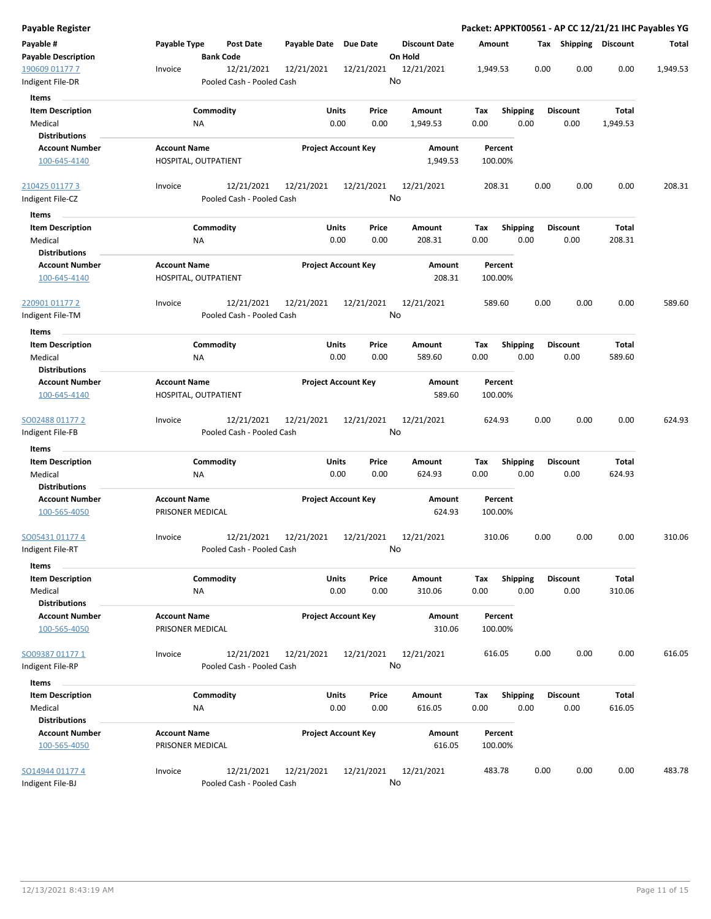| Payable Register                              |                                                    |                            |                                   | Packet: APPKT00561 - AP CC 12/21/21 IHC Payables YG |                         |                        |          |
|-----------------------------------------------|----------------------------------------------------|----------------------------|-----------------------------------|-----------------------------------------------------|-------------------------|------------------------|----------|
| Payable #<br>Payable Description              | Payable Type<br>Post Date<br><b>Bank Code</b>      | Payable Date Due Date      | <b>Discount Date</b><br>On Hold   | Amount                                              | Tax Shipping Discount   |                        | Total    |
| 190609 01177 7<br>Indigent File-DR            | 12/21/2021<br>Invoice<br>Pooled Cash - Pooled Cash | 12/21/2021<br>12/21/2021   | 12/21/2021<br>No                  | 1,949.53                                            | 0.00<br>0.00            | 0.00                   | 1,949.53 |
| Items                                         |                                                    |                            |                                   |                                                     |                         |                        |          |
| <b>Item Description</b>                       | Commodity                                          | Units                      | Price<br>Amount                   | <b>Shipping</b><br>Tax                              | <b>Discount</b>         | Total                  |          |
| Medical<br><b>Distributions</b>               | ΝA                                                 | 0.00                       | 0.00<br>1,949.53                  | 0.00<br>0.00                                        | 0.00                    | 1,949.53               |          |
| <b>Account Number</b><br>100-645-4140         | <b>Account Name</b><br>HOSPITAL, OUTPATIENT        | <b>Project Account Key</b> | Amount<br>1,949.53                | Percent<br>100.00%                                  |                         |                        |          |
| 210425 01177 3                                | 12/21/2021<br>Invoice                              | 12/21/2021<br>12/21/2021   | 12/21/2021                        | 208.31                                              | 0.00<br>0.00            | 0.00                   | 208.31   |
| ndigent File-CZ<br>Items                      | Pooled Cash - Pooled Cash                          |                            | No                                |                                                     |                         |                        |          |
| <b>Item Description</b>                       | Commodity                                          | Units                      | Price<br>Amount                   | <b>Shipping</b><br>Tax                              | <b>Discount</b>         | Total                  |          |
| Medical<br>Distributions                      | ΝA                                                 | 0.00                       | 0.00<br>208.31                    | 0.00<br>0.00                                        | 0.00                    | 208.31                 |          |
| <b>Account Number</b><br>100-645-4140         | <b>Account Name</b><br>HOSPITAL, OUTPATIENT        | <b>Project Account Key</b> | Amount<br>208.31                  | Percent<br>100.00%                                  |                         |                        |          |
| 220901 01177 2<br>Indigent File-TM            | 12/21/2021<br>Invoice<br>Pooled Cash - Pooled Cash | 12/21/2021<br>12/21/2021   | 12/21/2021<br>No                  | 589.60                                              | 0.00<br>0.00            | 0.00                   | 589.60   |
|                                               |                                                    |                            |                                   |                                                     |                         |                        |          |
| Items<br><b>Item Description</b><br>Medical   | Commodity<br>ΝA                                    | <b>Units</b><br>0.00       | Price<br>Amount<br>0.00<br>589.60 | Tax<br><b>Shipping</b><br>0.00<br>0.00              | <b>Discount</b><br>0.00 | Total<br>589.60        |          |
| <b>Distributions</b>                          |                                                    |                            |                                   |                                                     |                         |                        |          |
| <b>Account Number</b><br>100-645-4140         | <b>Account Name</b><br>HOSPITAL, OUTPATIENT        | <b>Project Account Key</b> | Amount<br>589.60                  | Percent<br>100.00%                                  |                         |                        |          |
| SO02488 01177 2<br>Indigent File-FB           | 12/21/2021<br>Invoice<br>Pooled Cash - Pooled Cash | 12/21/2021<br>12/21/2021   | 12/21/2021<br>No                  | 624.93                                              | 0.00<br>0.00            | 0.00                   | 624.93   |
| Items                                         |                                                    |                            |                                   |                                                     |                         |                        |          |
| <b>Item Description</b><br>Medical            | Commodity<br>NA                                    | Units<br>0.00              | Price<br>Amount<br>0.00<br>624.93 | Tax<br><b>Shipping</b><br>0.00<br>0.00              | <b>Discount</b><br>0.00 | Total<br>624.93        |          |
| <b>Distributions</b><br><b>Account Number</b> | <b>Account Name</b>                                | <b>Project Account Key</b> | Amount                            | Percent                                             |                         |                        |          |
| 100-565-4050                                  | PRISONER MEDICAL                                   |                            | 624.93                            | 100.00%                                             |                         |                        |          |
| SO05431 01177 4<br>ndigent File-RT            | 12/21/2021<br>Invoice<br>Pooled Cash - Pooled Cash | 12/21/2021<br>12/21/2021   | 12/21/2021<br>No                  | 310.06                                              | 0.00<br>0.00            | 0.00                   | 310.06   |
| Items                                         |                                                    |                            |                                   |                                                     |                         |                        |          |
| <b>Item Description</b>                       | Commodity                                          | Units                      | Price<br>Amount                   | <b>Shipping</b><br>Tax                              | <b>Discount</b>         | Total                  |          |
| Medical<br><b>Distributions</b>               | NA                                                 | 0.00                       | 0.00<br>310.06                    | 0.00<br>0.00                                        | 0.00                    | 310.06                 |          |
| <b>Account Number</b><br>100-565-4050         | <b>Account Name</b><br>PRISONER MEDICAL            | <b>Project Account Key</b> | Amount<br>310.06                  | Percent<br>100.00%                                  |                         |                        |          |
| SO09387 01177 1<br>Indigent File-RP           | Invoice<br>12/21/2021<br>Pooled Cash - Pooled Cash | 12/21/2021<br>12/21/2021   | 12/21/2021<br>No                  | 616.05                                              | 0.00<br>0.00            | 0.00                   | 616.05   |
| Items                                         |                                                    |                            |                                   |                                                     |                         |                        |          |
| <b>Item Description</b><br>Medical            | Commodity<br>ΝA                                    | <b>Units</b><br>0.00       | Price<br>Amount<br>0.00<br>616.05 | <b>Shipping</b><br>Tax<br>0.00<br>0.00              | <b>Discount</b><br>0.00 | <b>Total</b><br>616.05 |          |
| <b>Distributions</b>                          |                                                    |                            |                                   |                                                     |                         |                        |          |
| <b>Account Number</b><br>100-565-4050         | <b>Account Name</b><br>PRISONER MEDICAL            | <b>Project Account Key</b> | Amount<br>616.05                  | Percent<br>100.00%                                  |                         |                        |          |
| SO14944 01177 4<br>Indigent File-BJ           | 12/21/2021<br>Invoice<br>Pooled Cash - Pooled Cash | 12/21/2021<br>12/21/2021   | 12/21/2021<br>No                  | 483.78                                              | 0.00<br>0.00            | 0.00                   | 483.78   |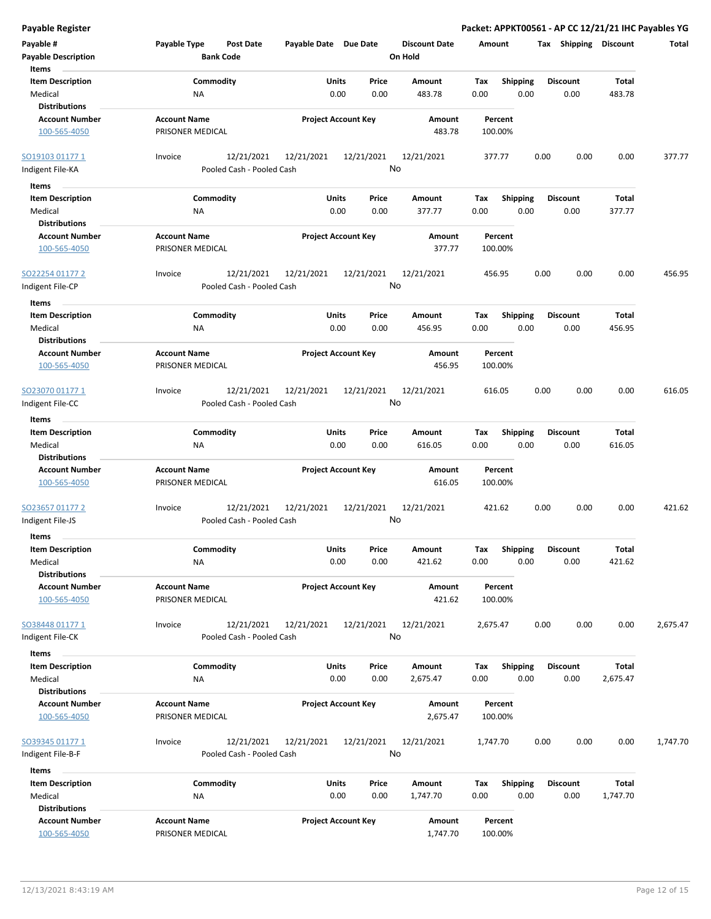| <b>Payable Register</b>                                    |                                                      |                            |                                   | Packet: APPKT00561 - AP CC 12/21/21 IHC Payables YG |                         |                 |          |
|------------------------------------------------------------|------------------------------------------------------|----------------------------|-----------------------------------|-----------------------------------------------------|-------------------------|-----------------|----------|
| Payable #<br><b>Payable Description</b>                    | Payable Type<br><b>Post Date</b><br><b>Bank Code</b> | Payable Date Due Date      | <b>Discount Date</b><br>On Hold   | Amount                                              | Tax Shipping Discount   |                 | Total    |
| Items                                                      | Commodity                                            | Units<br>Price             | Amount                            | Shipping                                            | <b>Discount</b>         | Total           |          |
| <b>Item Description</b><br>Medical<br><b>Distributions</b> | NA                                                   | 0.00                       | 0.00<br>483.78                    | Tax<br>0.00<br>0.00                                 | 0.00                    | 483.78          |          |
| <b>Account Number</b>                                      | <b>Account Name</b>                                  | <b>Project Account Key</b> | Amount                            | Percent                                             |                         |                 |          |
| 100-565-4050                                               | PRISONER MEDICAL                                     |                            | 483.78                            | 100.00%                                             |                         |                 |          |
| SO19103 01177 1                                            | 12/21/2021<br>Invoice                                | 12/21/2021<br>12/21/2021   | 12/21/2021                        | 377.77                                              | 0.00<br>0.00            | 0.00            | 377.77   |
| Indigent File-KA                                           | Pooled Cash - Pooled Cash                            |                            | No                                |                                                     |                         |                 |          |
| Items                                                      |                                                      |                            |                                   |                                                     |                         |                 |          |
| <b>Item Description</b>                                    | Commodity                                            | Units<br>Price             | Amount                            | <b>Shipping</b><br>Tax                              | <b>Discount</b>         | Total           |          |
| Medical<br><b>Distributions</b>                            | NA                                                   | 0.00                       | 0.00<br>377.77                    | 0.00<br>0.00                                        | 0.00                    | 377.77          |          |
| <b>Account Number</b>                                      | <b>Account Name</b>                                  | <b>Project Account Key</b> | Amount                            | Percent                                             |                         |                 |          |
| 100-565-4050                                               | PRISONER MEDICAL                                     |                            | 377.77                            | 100.00%                                             |                         |                 |          |
| SO22254 01177 2                                            | 12/21/2021<br>Invoice                                | 12/21/2021<br>12/21/2021   | 12/21/2021                        | 456.95                                              | 0.00<br>0.00            | 0.00            | 456.95   |
| Indigent File-CP                                           | Pooled Cash - Pooled Cash                            |                            | No                                |                                                     |                         |                 |          |
| Items                                                      |                                                      |                            |                                   |                                                     |                         |                 |          |
| <b>Item Description</b><br>Medical<br><b>Distributions</b> | Commodity<br>NA                                      | Units<br>0.00              | Price<br>Amount<br>0.00<br>456.95 | <b>Shipping</b><br>Tax<br>0.00<br>0.00              | <b>Discount</b><br>0.00 | Total<br>456.95 |          |
| <b>Account Number</b>                                      | <b>Account Name</b>                                  | <b>Project Account Key</b> | <b>Amount</b>                     | Percent                                             |                         |                 |          |
| 100-565-4050                                               | PRISONER MEDICAL                                     |                            | 456.95                            | 100.00%                                             |                         |                 |          |
| SO23070 01177 1                                            | 12/21/2021<br>Invoice                                | 12/21/2021<br>12/21/2021   | 12/21/2021                        | 616.05                                              | 0.00<br>0.00            | 0.00            | 616.05   |
| Indigent File-CC                                           | Pooled Cash - Pooled Cash                            |                            | No                                |                                                     |                         |                 |          |
| Items                                                      |                                                      |                            |                                   |                                                     |                         |                 |          |
| <b>Item Description</b>                                    | Commodity                                            | Units<br>Price             | Amount                            | <b>Shipping</b><br>Tax                              | <b>Discount</b>         | Total           |          |
| Medical                                                    | NA                                                   | 0.00                       | 0.00<br>616.05                    | 0.00<br>0.00                                        | 0.00                    | 616.05          |          |
| <b>Distributions</b>                                       |                                                      |                            |                                   |                                                     |                         |                 |          |
| <b>Account Number</b>                                      | <b>Account Name</b>                                  | <b>Project Account Key</b> | Amount                            | Percent                                             |                         |                 |          |
| 100-565-4050                                               | PRISONER MEDICAL                                     |                            | 616.05                            | 100.00%                                             |                         |                 |          |
| SO23657 01177 2                                            | 12/21/2021<br>Invoice                                | 12/21/2021<br>12/21/2021   | 12/21/2021                        | 421.62                                              | 0.00<br>0.00            | 0.00            | 421.62   |
| Indigent File-JS                                           | Pooled Cash - Pooled Cash                            |                            | No                                |                                                     |                         |                 |          |
| Items                                                      |                                                      |                            |                                   |                                                     |                         |                 |          |
| <b>Item Description</b>                                    | Commodity                                            | Units                      | Price<br>Amount                   | Shipping<br>Tax                                     | <b>Discount</b>         | Total           |          |
| Medical                                                    | NA                                                   | 0.00                       | 0.00<br>421.62                    | 0.00<br>0.00                                        | 0.00                    | 421.62          |          |
| <b>Distributions</b>                                       |                                                      |                            |                                   |                                                     |                         |                 |          |
| <b>Account Number</b><br>100-565-4050                      | <b>Account Name</b><br>PRISONER MEDICAL              | <b>Project Account Key</b> | Amount<br>421.62                  | Percent<br>100.00%                                  |                         |                 |          |
| SO38448 01177 1                                            | 12/21/2021<br>Invoice                                | 12/21/2021<br>12/21/2021   | 12/21/2021                        | 2,675.47                                            | 0.00<br>0.00            | 0.00            | 2,675.47 |
| Indigent File-CK                                           | Pooled Cash - Pooled Cash                            |                            | No                                |                                                     |                         |                 |          |
| Items                                                      |                                                      |                            |                                   |                                                     |                         |                 |          |
| <b>Item Description</b>                                    | Commodity                                            | Units                      | Price<br>Amount                   | <b>Shipping</b><br>Tax                              | <b>Discount</b>         | Total           |          |
| Medical                                                    | NA                                                   | 0.00                       | 0.00<br>2,675.47                  | 0.00<br>0.00                                        | 0.00                    | 2,675.47        |          |
| <b>Distributions</b>                                       |                                                      |                            |                                   |                                                     |                         |                 |          |
| <b>Account Number</b>                                      | <b>Account Name</b>                                  | <b>Project Account Key</b> | Amount                            | Percent                                             |                         |                 |          |
| 100-565-4050                                               | PRISONER MEDICAL                                     |                            | 2,675.47                          | 100.00%                                             |                         |                 |          |
| SO39345 01177 1                                            | 12/21/2021<br>Invoice                                | 12/21/2021<br>12/21/2021   | 12/21/2021                        | 1,747.70                                            | 0.00<br>0.00            | 0.00            | 1,747.70 |
| Indigent File-B-F                                          | Pooled Cash - Pooled Cash                            |                            | No                                |                                                     |                         |                 |          |
| Items                                                      |                                                      |                            |                                   |                                                     |                         |                 |          |
| <b>Item Description</b>                                    | Commodity                                            | Units                      | Price<br>Amount                   | Tax<br><b>Shipping</b>                              | <b>Discount</b>         | <b>Total</b>    |          |
| Medical                                                    | ΝA                                                   | 0.00                       | 0.00<br>1,747.70                  | 0.00<br>0.00                                        | 0.00                    | 1,747.70        |          |
| <b>Distributions</b>                                       |                                                      |                            |                                   |                                                     |                         |                 |          |
| <b>Account Number</b>                                      | <b>Account Name</b>                                  | <b>Project Account Key</b> | Amount                            | Percent                                             |                         |                 |          |
| 100-565-4050                                               | PRISONER MEDICAL                                     |                            | 1,747.70                          | 100.00%                                             |                         |                 |          |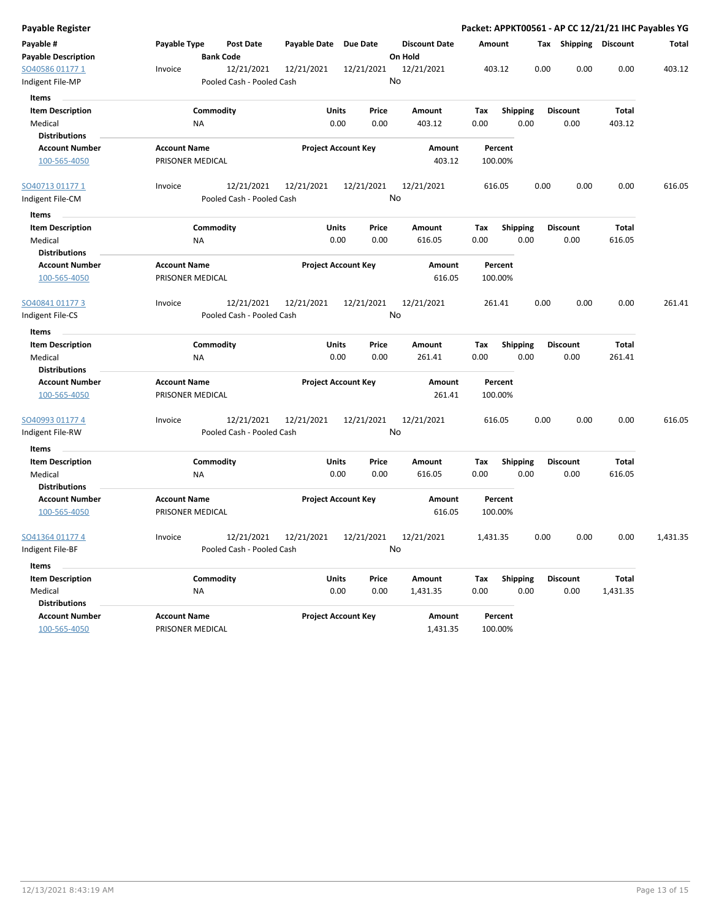| Payable Register           |                     |                           |                     |                            |                      |          |                 |      |                       |          | Packet: APPKT00561 - AP CC 12/21/21 IHC Payables YG |
|----------------------------|---------------------|---------------------------|---------------------|----------------------------|----------------------|----------|-----------------|------|-----------------------|----------|-----------------------------------------------------|
| Payable #                  | Payable Type        | Post Date                 | <b>Payable Date</b> | Due Date                   | <b>Discount Date</b> | Amount   |                 |      | Tax Shipping Discount |          | Total                                               |
| <b>Payable Description</b> |                     | <b>Bank Code</b>          |                     |                            | On Hold              |          |                 |      |                       |          |                                                     |
| SO40586 01177 1            | Invoice             | 12/21/2021                | 12/21/2021          | 12/21/2021                 | 12/21/2021           | 403.12   |                 | 0.00 | 0.00                  | 0.00     | 403.12                                              |
| Indigent File-MP           |                     | Pooled Cash - Pooled Cash |                     |                            | No                   |          |                 |      |                       |          |                                                     |
| Items                      |                     |                           |                     |                            |                      |          |                 |      |                       |          |                                                     |
| <b>Item Description</b>    |                     | Commodity                 | Units               | Price                      | Amount               | Tax      | <b>Shipping</b> |      | <b>Discount</b>       | Total    |                                                     |
| Medical                    | ΝA                  |                           | 0.00                | 0.00                       | 403.12               | 0.00     | 0.00            |      | 0.00                  | 403.12   |                                                     |
| <b>Distributions</b>       |                     |                           |                     |                            |                      |          |                 |      |                       |          |                                                     |
| <b>Account Number</b>      | <b>Account Name</b> |                           |                     | <b>Project Account Key</b> | Amount               |          | Percent         |      |                       |          |                                                     |
| 100-565-4050               | PRISONER MEDICAL    |                           |                     |                            | 403.12               |          | 100.00%         |      |                       |          |                                                     |
| <u>SO40713 01177 1</u>     | Invoice             | 12/21/2021                | 12/21/2021          | 12/21/2021                 | 12/21/2021           | 616.05   |                 | 0.00 | 0.00                  | 0.00     | 616.05                                              |
| Indigent File-CM           |                     | Pooled Cash - Pooled Cash |                     |                            | No                   |          |                 |      |                       |          |                                                     |
| Items                      |                     |                           |                     |                            |                      |          |                 |      |                       |          |                                                     |
| <b>Item Description</b>    |                     | Commodity                 | <b>Units</b>        | Price                      | Amount               | Tax      | <b>Shipping</b> |      | <b>Discount</b>       | Total    |                                                     |
| Medical                    | ΝA                  |                           | 0.00                | 0.00                       | 616.05               | 0.00     | 0.00            |      | 0.00                  | 616.05   |                                                     |
| <b>Distributions</b>       |                     |                           |                     |                            |                      |          |                 |      |                       |          |                                                     |
| <b>Account Number</b>      | <b>Account Name</b> |                           |                     | <b>Project Account Key</b> | Amount               |          | Percent         |      |                       |          |                                                     |
| 100-565-4050               | PRISONER MEDICAL    |                           |                     |                            | 616.05               |          | 100.00%         |      |                       |          |                                                     |
| SO40841 01177 3            | Invoice             | 12/21/2021                | 12/21/2021          | 12/21/2021                 | 12/21/2021           | 261.41   |                 | 0.00 | 0.00                  | 0.00     | 261.41                                              |
| ndigent File-CS            |                     | Pooled Cash - Pooled Cash |                     |                            | No                   |          |                 |      |                       |          |                                                     |
| Items                      |                     |                           |                     |                            |                      |          |                 |      |                       |          |                                                     |
| <b>Item Description</b>    |                     | Commodity                 | <b>Units</b>        | Price                      | Amount               | Tax      | <b>Shipping</b> |      | <b>Discount</b>       | Total    |                                                     |
| Medical                    | NA                  |                           | 0.00                | 0.00                       | 261.41               | 0.00     | 0.00            |      | 0.00                  | 261.41   |                                                     |
| <b>Distributions</b>       |                     |                           |                     |                            |                      |          |                 |      |                       |          |                                                     |
| <b>Account Number</b>      | <b>Account Name</b> |                           |                     | <b>Project Account Key</b> | Amount               |          | Percent         |      |                       |          |                                                     |
| 100-565-4050               | PRISONER MEDICAL    |                           |                     |                            | 261.41               |          | 100.00%         |      |                       |          |                                                     |
| SO40993 01177 4            | Invoice             | 12/21/2021                | 12/21/2021          | 12/21/2021                 | 12/21/2021           | 616.05   |                 | 0.00 | 0.00                  | 0.00     | 616.05                                              |
| Indigent File-RW           |                     | Pooled Cash - Pooled Cash |                     |                            | No                   |          |                 |      |                       |          |                                                     |
| Items                      |                     |                           |                     |                            |                      |          |                 |      |                       |          |                                                     |
| <b>Item Description</b>    |                     | Commodity                 | <b>Units</b>        | Price                      | Amount               | Tax      | <b>Shipping</b> |      | <b>Discount</b>       | Total    |                                                     |
| Medical                    | ΝA                  |                           | 0.00                | 0.00                       | 616.05               | 0.00     | 0.00            |      | 0.00                  | 616.05   |                                                     |
| <b>Distributions</b>       |                     |                           |                     |                            |                      |          |                 |      |                       |          |                                                     |
| <b>Account Number</b>      | <b>Account Name</b> |                           |                     | <b>Project Account Key</b> | Amount               |          | Percent         |      |                       |          |                                                     |
| 100-565-4050               | PRISONER MEDICAL    |                           |                     |                            | 616.05               |          | 100.00%         |      |                       |          |                                                     |
| SO41364 01177 4            | Invoice             | 12/21/2021                | 12/21/2021          | 12/21/2021                 | 12/21/2021           | 1,431.35 |                 | 0.00 | 0.00                  | 0.00     | 1,431.35                                            |
| ndigent File-BF            |                     | Pooled Cash - Pooled Cash |                     |                            | No                   |          |                 |      |                       |          |                                                     |
| Items                      |                     |                           |                     |                            |                      |          |                 |      |                       |          |                                                     |
| <b>Item Description</b>    |                     | Commodity                 | <b>Units</b>        | Price                      | Amount               | Tax      | Shipping        |      | <b>Discount</b>       | Total    |                                                     |
| Medical                    | NA                  |                           |                     | 0.00<br>0.00               | 1,431.35             | 0.00     | 0.00            |      | 0.00                  | 1,431.35 |                                                     |
| <b>Distributions</b>       |                     |                           |                     |                            |                      |          |                 |      |                       |          |                                                     |
| <b>Account Number</b>      | <b>Account Name</b> |                           |                     | <b>Project Account Key</b> | Amount               |          | Percent         |      |                       |          |                                                     |
| 100-565-4050               | PRISONER MEDICAL    |                           |                     |                            | 1,431.35             |          | 100.00%         |      |                       |          |                                                     |
|                            |                     |                           |                     |                            |                      |          |                 |      |                       |          |                                                     |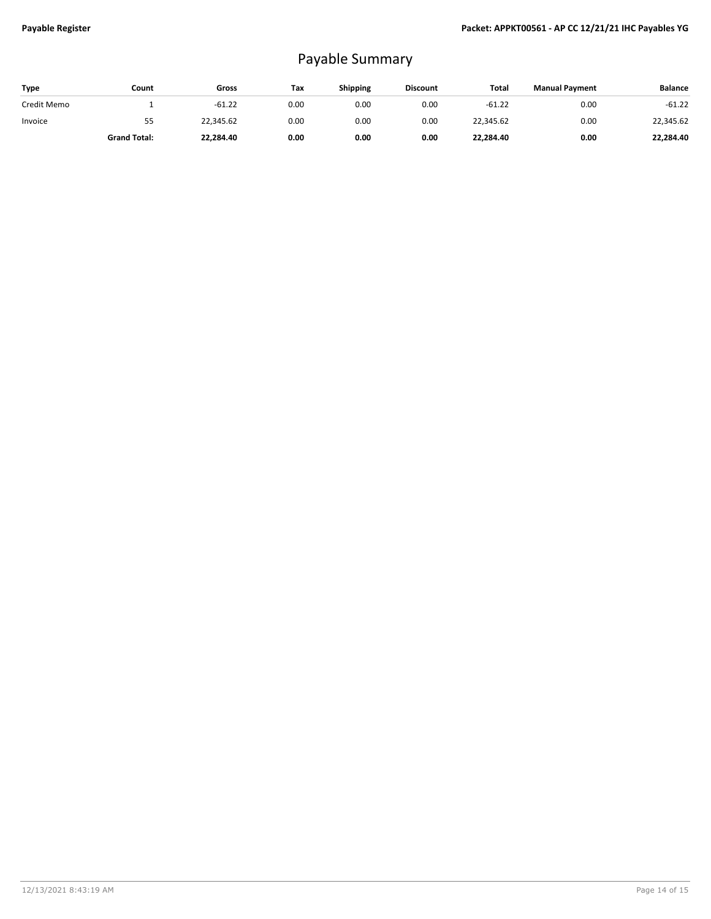## Payable Summary

| <b>Type</b> | Count               | Gross     | Tax  | Shipping | <b>Discount</b> | Total     | <b>Manual Payment</b> | <b>Balance</b> |
|-------------|---------------------|-----------|------|----------|-----------------|-----------|-----------------------|----------------|
| Credit Memo |                     | $-61.22$  | 0.00 | 0.00     | 0.00            | $-61.22$  | 0.00                  | $-61.22$       |
| Invoice     | 55                  | 22,345.62 | 0.00 | 0.00     | 0.00            | 22,345.62 | 0.00                  | 22.345.62      |
|             | <b>Grand Total:</b> | 22,284.40 | 0.00 | 0.00     | 0.00            | 22,284.40 | 0.00                  | 22,284.40      |